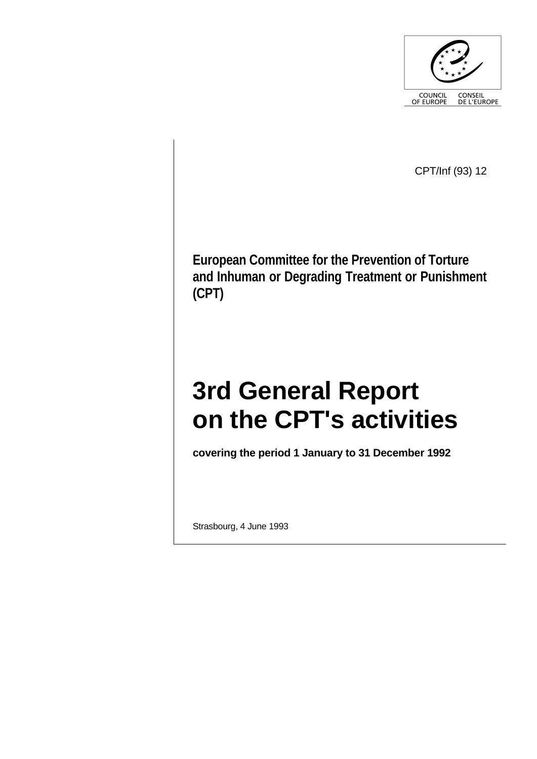

CPT/Inf (93) 12

**European Committee for the Prevention of Torture and Inhuman or Degrading Treatment or Punishment (CPT)**

# **3rd General Report on the CPT's activities**

**covering the period 1 January to 31 December 1992**

Strasbourg, 4 June 1993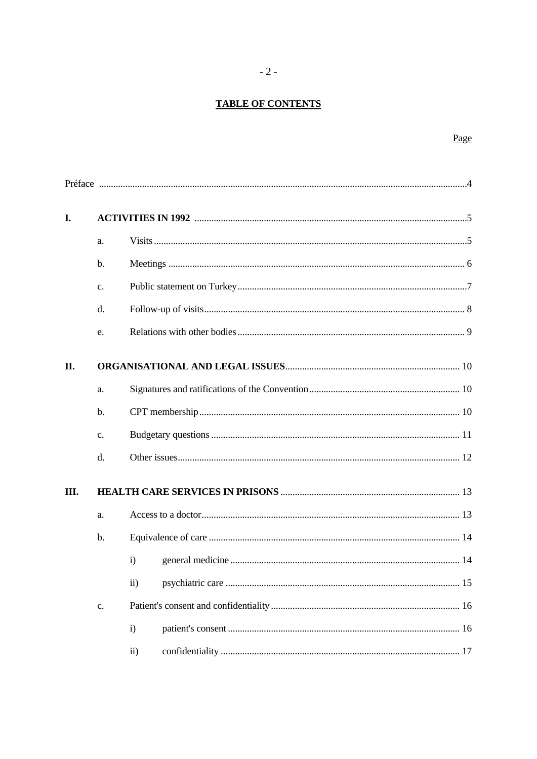## **TABLE OF CONTENTS**

| I.  | <b>ACTIVITIES IN 1992 manufacture and the contract of the set of the set of the set of the set of the set of the set of the set of the set of the set of the set of the set of the set of the set of the set of the set of the s</b> |              |  |
|-----|--------------------------------------------------------------------------------------------------------------------------------------------------------------------------------------------------------------------------------------|--------------|--|
|     | a.                                                                                                                                                                                                                                   |              |  |
|     | b.                                                                                                                                                                                                                                   |              |  |
|     | c.                                                                                                                                                                                                                                   |              |  |
|     | d.                                                                                                                                                                                                                                   |              |  |
|     | e.                                                                                                                                                                                                                                   |              |  |
| II. |                                                                                                                                                                                                                                      |              |  |
|     | a.                                                                                                                                                                                                                                   |              |  |
|     | b.                                                                                                                                                                                                                                   |              |  |
|     | c.                                                                                                                                                                                                                                   |              |  |
|     | d.                                                                                                                                                                                                                                   |              |  |
| Ш.  |                                                                                                                                                                                                                                      |              |  |
|     | a.                                                                                                                                                                                                                                   |              |  |
|     | b.                                                                                                                                                                                                                                   |              |  |
|     |                                                                                                                                                                                                                                      | $\mathbf{i}$ |  |
|     |                                                                                                                                                                                                                                      | $\rm ii)$    |  |
|     | c.                                                                                                                                                                                                                                   |              |  |
|     |                                                                                                                                                                                                                                      | $\mathbf{i}$ |  |
|     |                                                                                                                                                                                                                                      | $\rm ii)$    |  |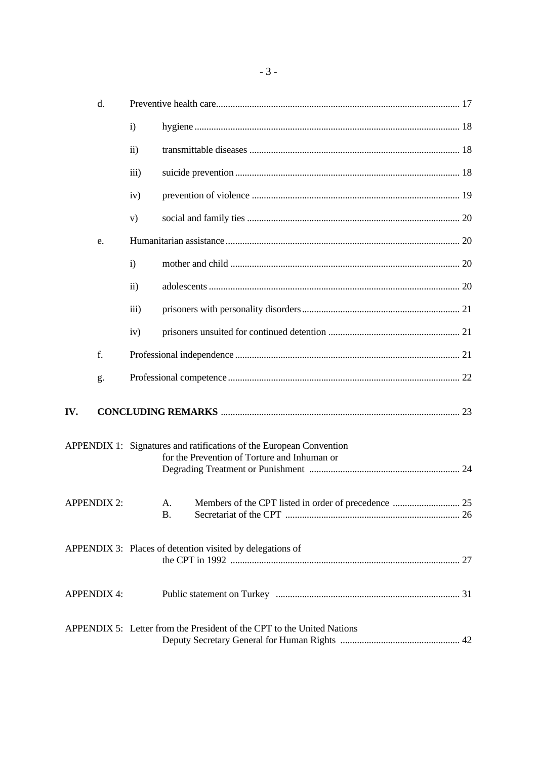| d.                 |                  |                                                                                                                     |  |
|--------------------|------------------|---------------------------------------------------------------------------------------------------------------------|--|
|                    | $\mathbf{i}$     |                                                                                                                     |  |
|                    | $\overline{ii}$  |                                                                                                                     |  |
|                    | iii)             |                                                                                                                     |  |
|                    | iv)              |                                                                                                                     |  |
|                    | V)               |                                                                                                                     |  |
| e.                 |                  |                                                                                                                     |  |
|                    | $\mathbf{i}$     |                                                                                                                     |  |
|                    | $\overline{11}$  |                                                                                                                     |  |
|                    | $\overline{iii}$ |                                                                                                                     |  |
|                    | iv)              |                                                                                                                     |  |
| f.                 |                  |                                                                                                                     |  |
| g.                 |                  |                                                                                                                     |  |
| IV.                |                  |                                                                                                                     |  |
|                    |                  | APPENDIX 1: Signatures and ratifications of the European Convention<br>for the Prevention of Torture and Inhuman or |  |
| <b>APPENDIX 2:</b> |                  | <b>B.</b>                                                                                                           |  |
|                    |                  | APPENDIX 3: Places of detention visited by delegations of                                                           |  |
| <b>APPENDIX 4:</b> |                  |                                                                                                                     |  |
|                    |                  | APPENDIX 5: Letter from the President of the CPT to the United Nations                                              |  |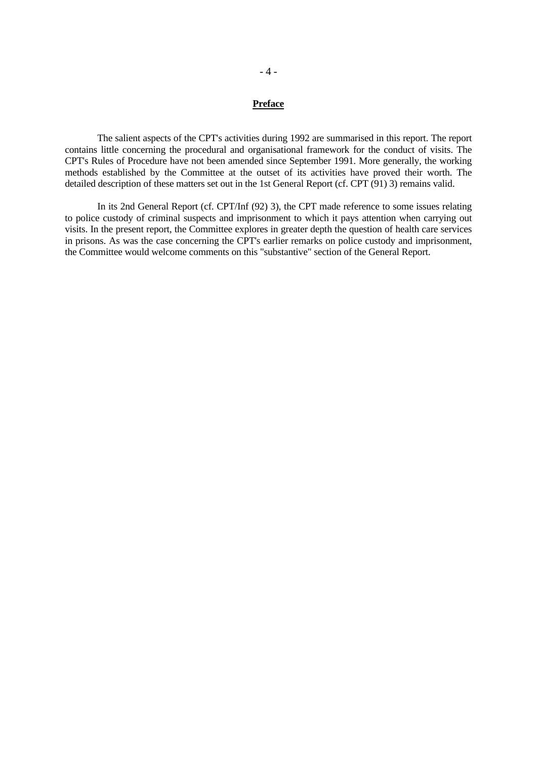## **Preface**

The salient aspects of the CPT's activities during 1992 are summarised in this report. The report contains little concerning the procedural and organisational framework for the conduct of visits. The CPT's Rules of Procedure have not been amended since September 1991. More generally, the working methods established by the Committee at the outset of its activities have proved their worth. The detailed description of these matters set out in the 1st General Report (cf. CPT (91) 3) remains valid.

In its 2nd General Report (cf. CPT/Inf (92) 3), the CPT made reference to some issues relating to police custody of criminal suspects and imprisonment to which it pays attention when carrying out visits. In the present report, the Committee explores in greater depth the question of health care services in prisons. As was the case concerning the CPT's earlier remarks on police custody and imprisonment, the Committee would welcome comments on this "substantive" section of the General Report.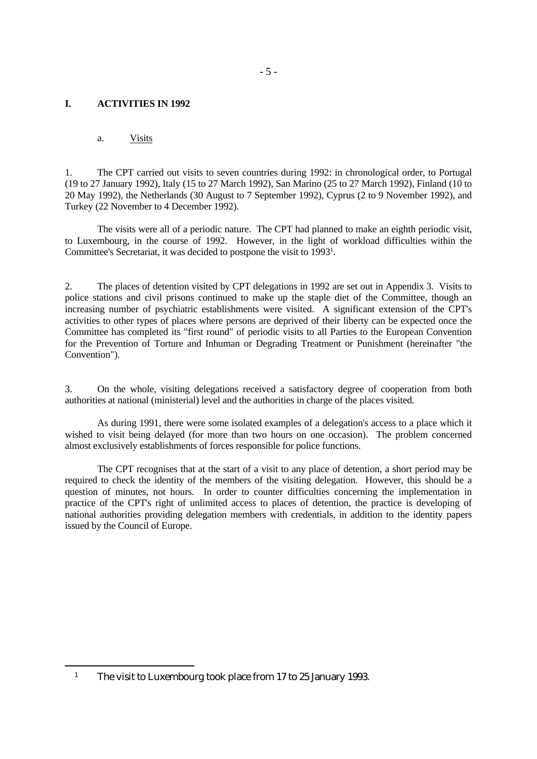#### **I. ACTIVITIES IN 1992**

#### a. Visits

1. The CPT carried out visits to seven countries during 1992: in chronological order, to Portugal (19 to 27 January 1992), Italy (15 to 27 March 1992), San Marino (25 to 27 March 1992), Finland (10 to 20 May 1992), the Netherlands (30 August to 7 September 1992), Cyprus (2 to 9 November 1992), and Turkey (22 November to 4 December 1992).

The visits were all of a periodic nature. The CPT had planned to make an eighth periodic visit, to Luxembourg, in the course of 1992. However, in the light of workload difficulties within the Committee's Secretariat, it was decided to postpone the visit to 1993<sup>1</sup>.

2. The places of detention visited by CPT delegations in 1992 are set out in Appendix 3. Visits to police stations and civil prisons continued to make up the staple diet of the Committee, though an increasing number of psychiatric establishments were visited. A significant extension of the CPT's activities to other types of places where persons are deprived of their liberty can be expected once the Committee has completed its "first round" of periodic visits to all Parties to the European Convention for the Prevention of Torture and Inhuman or Degrading Treatment or Punishment (hereinafter "the Convention").

3. On the whole, visiting delegations received a satisfactory degree of cooperation from both authorities at national (ministerial) level and the authorities in charge of the places visited.

As during 1991, there were some isolated examples of a delegation's access to a place which it wished to visit being delayed (for more than two hours on one occasion). The problem concerned almost exclusively establishments of forces responsible for police functions.

The CPT recognises that at the start of a visit to any place of detention, a short period may be required to check the identity of the members of the visiting delegation. However, this should be a question of minutes, not hours. In order to counter difficulties concerning the implementation in practice of the CPT's right of unlimited access to places of detention, the practice is developing of national authorities providing delegation members with credentials, in addition to the identity papers issued by the Council of Europe.

<sup>&</sup>lt;sup>1</sup> The visit to Luxembourg took place from 17 to 25 January 1993.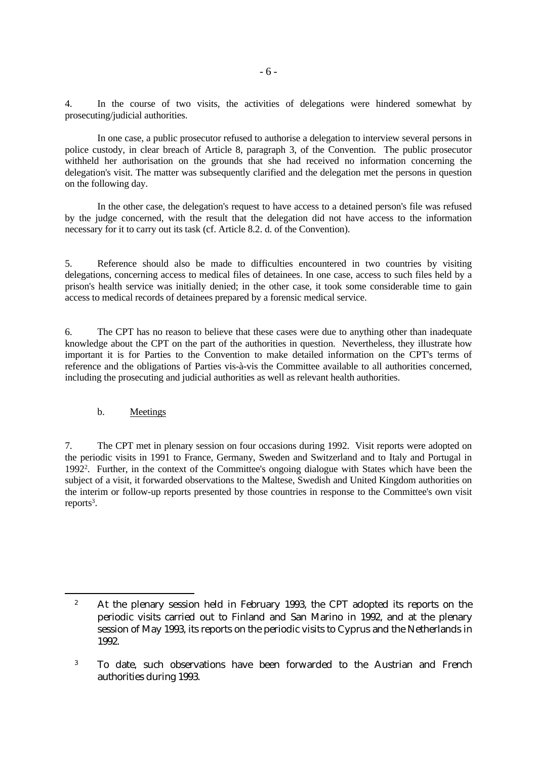4. In the course of two visits, the activities of delegations were hindered somewhat by prosecuting/judicial authorities.

In one case, a public prosecutor refused to authorise a delegation to interview several persons in police custody, in clear breach of Article 8, paragraph 3, of the Convention. The public prosecutor withheld her authorisation on the grounds that she had received no information concerning the delegation's visit. The matter was subsequently clarified and the delegation met the persons in question on the following day.

In the other case, the delegation's request to have access to a detained person's file was refused by the judge concerned, with the result that the delegation did not have access to the information necessary for it to carry out its task (cf. Article 8.2. d. of the Convention).

5. Reference should also be made to difficulties encountered in two countries by visiting delegations, concerning access to medical files of detainees. In one case, access to such files held by a prison's health service was initially denied; in the other case, it took some considerable time to gain access to medical records of detainees prepared by a forensic medical service.

6. The CPT has no reason to believe that these cases were due to anything other than inadequate knowledge about the CPT on the part of the authorities in question. Nevertheless, they illustrate how important it is for Parties to the Convention to make detailed information on the CPT's terms of reference and the obligations of Parties vis-à-vis the Committee available to all authorities concerned, including the prosecuting and judicial authorities as well as relevant health authorities.

b. Meetings

7. The CPT met in plenary session on four occasions during 1992. Visit reports were adopted on the periodic visits in 1991 to France, Germany, Sweden and Switzerland and to Italy and Portugal in 1992<sup>2</sup> . Further, in the context of the Committee's ongoing dialogue with States which have been the subject of a visit, it forwarded observations to the Maltese, Swedish and United Kingdom authorities on the interim or follow-up reports presented by those countries in response to the Committee's own visit reports<sup>3</sup>.

<sup>&</sup>lt;sup>2</sup> At the plenary session held in February 1993, the CPT adopted its reports on the periodic visits carried out to Finland and San Marino in 1992, and at the plenary session of May 1993, its reports on the periodic visits to Cyprus and the Netherlands in 1992.

<sup>&</sup>lt;sup>3</sup> To date, such observations have been forwarded to the Austrian and French authorities during 1993.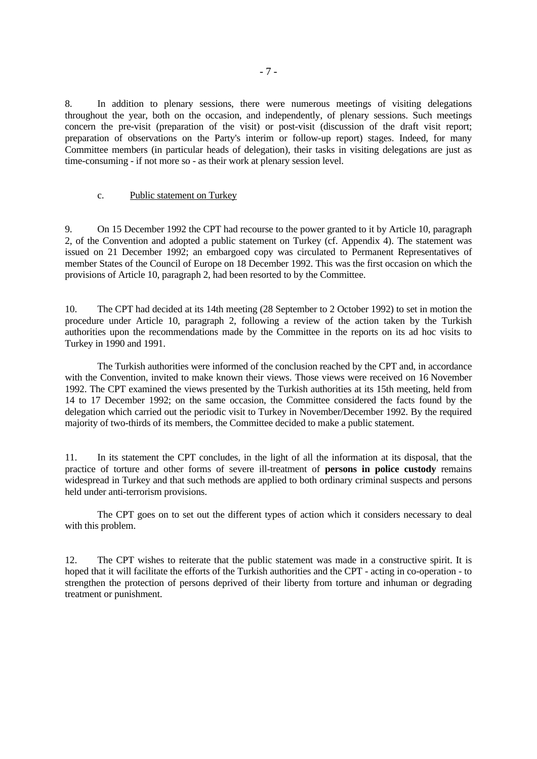8. In addition to plenary sessions, there were numerous meetings of visiting delegations throughout the year, both on the occasion, and independently, of plenary sessions. Such meetings concern the pre-visit (preparation of the visit) or post-visit (discussion of the draft visit report; preparation of observations on the Party's interim or follow-up report) stages. Indeed, for many Committee members (in particular heads of delegation), their tasks in visiting delegations are just as time-consuming - if not more so - as their work at plenary session level.

#### c. Public statement on Turkey

9. On 15 December 1992 the CPT had recourse to the power granted to it by Article 10, paragraph 2, of the Convention and adopted a public statement on Turkey (cf. Appendix 4). The statement was issued on 21 December 1992; an embargoed copy was circulated to Permanent Representatives of member States of the Council of Europe on 18 December 1992. This was the first occasion on which the provisions of Article 10, paragraph 2, had been resorted to by the Committee.

10. The CPT had decided at its 14th meeting (28 September to 2 October 1992) to set in motion the procedure under Article 10, paragraph 2, following a review of the action taken by the Turkish authorities upon the recommendations made by the Committee in the reports on its ad hoc visits to Turkey in 1990 and 1991.

The Turkish authorities were informed of the conclusion reached by the CPT and, in accordance with the Convention, invited to make known their views. Those views were received on 16 November 1992. The CPT examined the views presented by the Turkish authorities at its 15th meeting, held from 14 to 17 December 1992; on the same occasion, the Committee considered the facts found by the delegation which carried out the periodic visit to Turkey in November/December 1992. By the required majority of two-thirds of its members, the Committee decided to make a public statement.

11. In its statement the CPT concludes, in the light of all the information at its disposal, that the practice of torture and other forms of severe ill-treatment of **persons in police custody** remains widespread in Turkey and that such methods are applied to both ordinary criminal suspects and persons held under anti-terrorism provisions.

The CPT goes on to set out the different types of action which it considers necessary to deal with this problem.

12. The CPT wishes to reiterate that the public statement was made in a constructive spirit. It is hoped that it will facilitate the efforts of the Turkish authorities and the CPT - acting in co-operation - to strengthen the protection of persons deprived of their liberty from torture and inhuman or degrading treatment or punishment.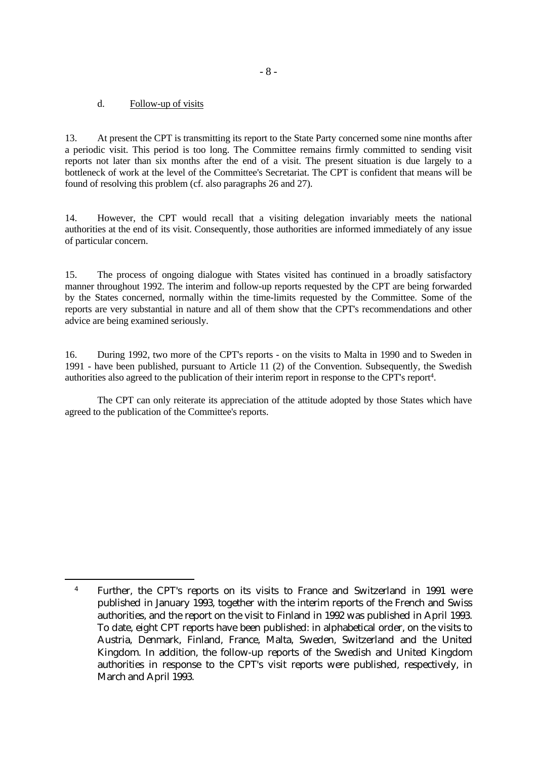## d. Follow-up of visits

13. At present the CPT is transmitting its report to the State Party concerned some nine months after a periodic visit. This period is too long. The Committee remains firmly committed to sending visit reports not later than six months after the end of a visit. The present situation is due largely to a bottleneck of work at the level of the Committee's Secretariat. The CPT is confident that means will be found of resolving this problem (cf. also paragraphs 26 and 27).

14. However, the CPT would recall that a visiting delegation invariably meets the national authorities at the end of its visit. Consequently, those authorities are informed immediately of any issue of particular concern.

15. The process of ongoing dialogue with States visited has continued in a broadly satisfactory manner throughout 1992. The interim and follow-up reports requested by the CPT are being forwarded by the States concerned, normally within the time-limits requested by the Committee. Some of the reports are very substantial in nature and all of them show that the CPT's recommendations and other advice are being examined seriously.

16. During 1992, two more of the CPT's reports - on the visits to Malta in 1990 and to Sweden in 1991 - have been published, pursuant to Article 11 (2) of the Convention. Subsequently, the Swedish authorities also agreed to the publication of their interim report in response to the CPT's report<sup>4</sup>.

The CPT can only reiterate its appreciation of the attitude adopted by those States which have agreed to the publication of the Committee's reports.

<sup>&</sup>lt;sup>4</sup> Further, the CPT's reports on its visits to France and Switzerland in 1991 were published in January 1993, together with the interim reports of the French and Swiss authorities, and the report on the visit to Finland in 1992 was published in April 1993. To date, eight CPT reports have been published: in alphabetical order, on the visits to Austria, Denmark, Finland, France, Malta, Sweden, Switzerland and the United Kingdom. In addition, the follow-up reports of the Swedish and United Kingdom authorities in response to the CPT's visit reports were published, respectively, in March and April 1993.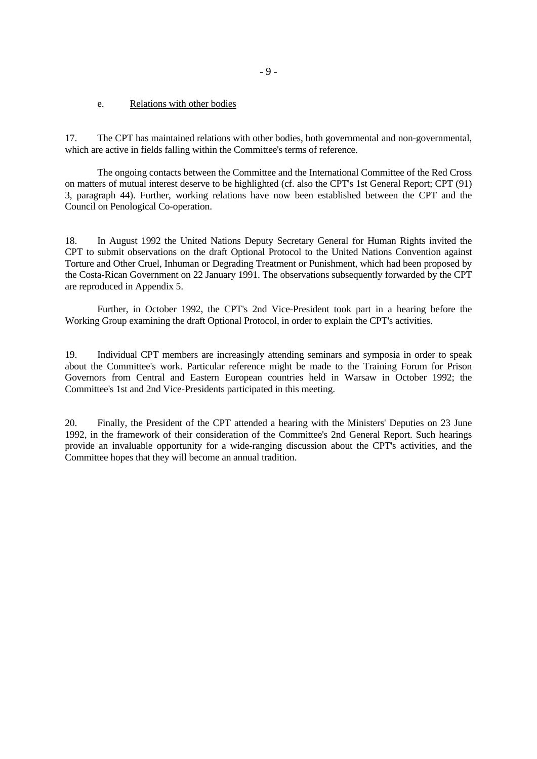## e. Relations with other bodies

17. The CPT has maintained relations with other bodies, both governmental and non-governmental, which are active in fields falling within the Committee's terms of reference.

The ongoing contacts between the Committee and the International Committee of the Red Cross on matters of mutual interest deserve to be highlighted (cf. also the CPT's 1st General Report; CPT (91) 3, paragraph 44). Further, working relations have now been established between the CPT and the Council on Penological Co-operation.

18. In August 1992 the United Nations Deputy Secretary General for Human Rights invited the CPT to submit observations on the draft Optional Protocol to the United Nations Convention against Torture and Other Cruel, Inhuman or Degrading Treatment or Punishment, which had been proposed by the Costa-Rican Government on 22 January 1991. The observations subsequently forwarded by the CPT are reproduced in Appendix 5.

Further, in October 1992, the CPT's 2nd Vice-President took part in a hearing before the Working Group examining the draft Optional Protocol, in order to explain the CPT's activities.

19. Individual CPT members are increasingly attending seminars and symposia in order to speak about the Committee's work. Particular reference might be made to the Training Forum for Prison Governors from Central and Eastern European countries held in Warsaw in October 1992; the Committee's 1st and 2nd Vice-Presidents participated in this meeting.

20. Finally, the President of the CPT attended a hearing with the Ministers' Deputies on 23 June 1992, in the framework of their consideration of the Committee's 2nd General Report. Such hearings provide an invaluable opportunity for a wide-ranging discussion about the CPT's activities, and the Committee hopes that they will become an annual tradition.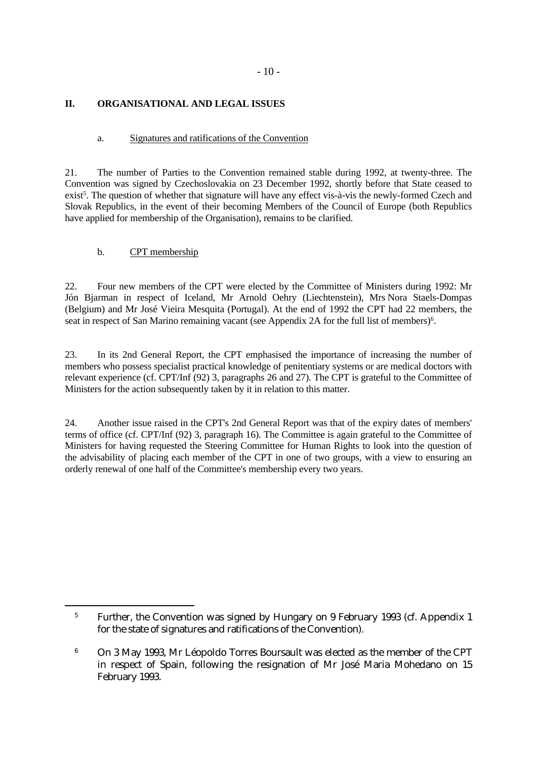## **II. ORGANISATIONAL AND LEGAL ISSUES**

## a. Signatures and ratifications of the Convention

21. The number of Parties to the Convention remained stable during 1992, at twenty-three. The Convention was signed by Czechoslovakia on 23 December 1992, shortly before that State ceased to exist<sup>5</sup>. The question of whether that signature will have any effect vis-à-vis the newly-formed Czech and Slovak Republics, in the event of their becoming Members of the Council of Europe (both Republics have applied for membership of the Organisation), remains to be clarified.

## b. CPT membership

22. Four new members of the CPT were elected by the Committee of Ministers during 1992: Mr Jón Bjarman in respect of Iceland, Mr Arnold Oehry (Liechtenstein), Mrs Nora Staels-Dompas (Belgium) and Mr José Vieira Mesquita (Portugal). At the end of 1992 the CPT had 22 members, the seat in respect of San Marino remaining vacant (see Appendix 2A for the full list of members)<sup>6</sup>.

23. In its 2nd General Report, the CPT emphasised the importance of increasing the number of members who possess specialist practical knowledge of penitentiary systems or are medical doctors with relevant experience (cf. CPT/Inf (92) 3, paragraphs 26 and 27). The CPT is grateful to the Committee of Ministers for the action subsequently taken by it in relation to this matter.

24. Another issue raised in the CPT's 2nd General Report was that of the expiry dates of members' terms of office (cf. CPT/Inf (92) 3, paragraph 16). The Committee is again grateful to the Committee of Ministers for having requested the Steering Committee for Human Rights to look into the question of the advisability of placing each member of the CPT in one of two groups, with a view to ensuring an orderly renewal of one half of the Committee's membership every two years.

<sup>5</sup> Further, the Convention was signed by Hungary on 9 February 1993 (cf. Appendix 1 for the state of signatures and ratifications of the Convention).

<sup>6</sup> On 3 May 1993, Mr Léopoldo Torres Boursault was elected as the member of the CPT in respect of Spain, following the resignation of Mr José Maria Mohedano on 15 February 1993.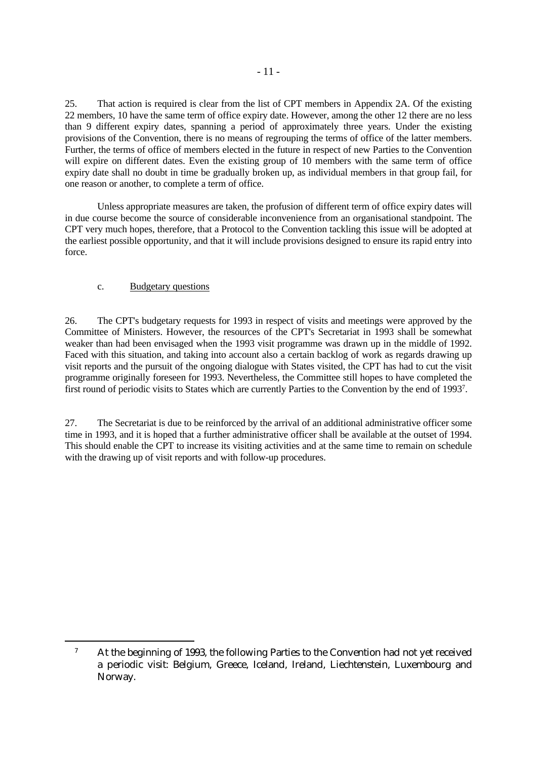25. That action is required is clear from the list of CPT members in Appendix 2A. Of the existing 22 members, 10 have the same term of office expiry date. However, among the other 12 there are no less than 9 different expiry dates, spanning a period of approximately three years. Under the existing provisions of the Convention, there is no means of regrouping the terms of office of the latter members. Further, the terms of office of members elected in the future in respect of new Parties to the Convention will expire on different dates. Even the existing group of 10 members with the same term of office expiry date shall no doubt in time be gradually broken up, as individual members in that group fail, for one reason or another, to complete a term of office.

Unless appropriate measures are taken, the profusion of different term of office expiry dates will in due course become the source of considerable inconvenience from an organisational standpoint. The CPT very much hopes, therefore, that a Protocol to the Convention tackling this issue will be adopted at the earliest possible opportunity, and that it will include provisions designed to ensure its rapid entry into force.

## c. Budgetary questions

26. The CPT's budgetary requests for 1993 in respect of visits and meetings were approved by the Committee of Ministers. However, the resources of the CPT's Secretariat in 1993 shall be somewhat weaker than had been envisaged when the 1993 visit programme was drawn up in the middle of 1992. Faced with this situation, and taking into account also a certain backlog of work as regards drawing up visit reports and the pursuit of the ongoing dialogue with States visited, the CPT has had to cut the visit programme originally foreseen for 1993. Nevertheless, the Committee still hopes to have completed the first round of periodic visits to States which are currently Parties to the Convention by the end of 1993<sup>7</sup> .

27. The Secretariat is due to be reinforced by the arrival of an additional administrative officer some time in 1993, and it is hoped that a further administrative officer shall be available at the outset of 1994. This should enable the CPT to increase its visiting activities and at the same time to remain on schedule with the drawing up of visit reports and with follow-up procedures.

<sup>&</sup>lt;sup>7</sup> At the beginning of 1993, the following Parties to the Convention had not yet received a periodic visit: Belgium, Greece, Iceland, Ireland, Liechtenstein, Luxembourg and Norway.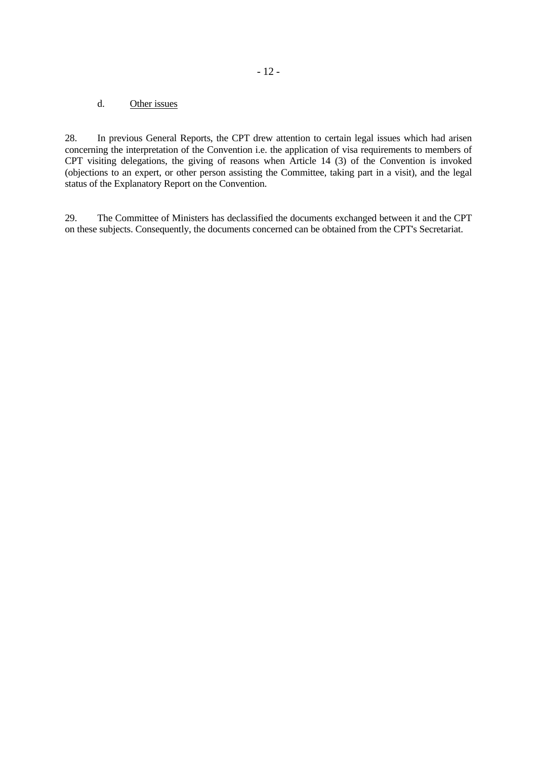## d. Other issues

28. In previous General Reports, the CPT drew attention to certain legal issues which had arisen concerning the interpretation of the Convention i.e. the application of visa requirements to members of CPT visiting delegations, the giving of reasons when Article 14 (3) of the Convention is invoked (objections to an expert, or other person assisting the Committee, taking part in a visit), and the legal status of the Explanatory Report on the Convention.

29. The Committee of Ministers has declassified the documents exchanged between it and the CPT on these subjects. Consequently, the documents concerned can be obtained from the CPT's Secretariat.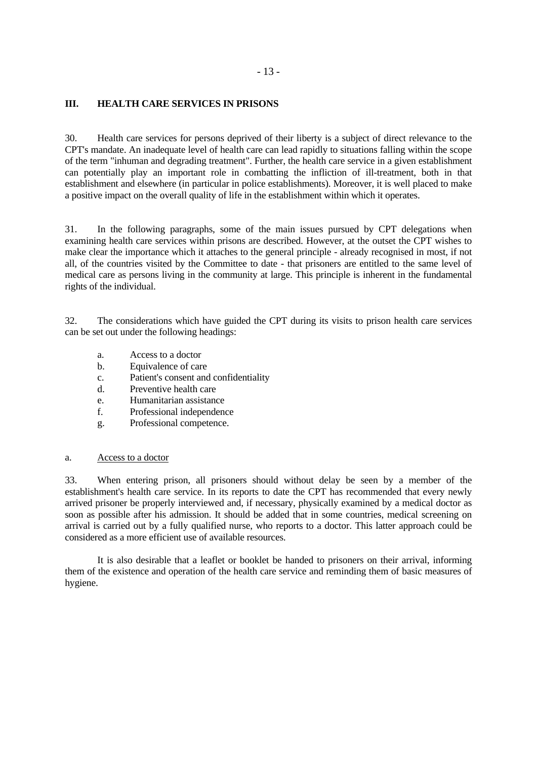## **III. HEALTH CARE SERVICES IN PRISONS**

30. Health care services for persons deprived of their liberty is a subject of direct relevance to the CPT's mandate. An inadequate level of health care can lead rapidly to situations falling within the scope of the term "inhuman and degrading treatment". Further, the health care service in a given establishment can potentially play an important role in combatting the infliction of ill-treatment, both in that establishment and elsewhere (in particular in police establishments). Moreover, it is well placed to make a positive impact on the overall quality of life in the establishment within which it operates.

31. In the following paragraphs, some of the main issues pursued by CPT delegations when examining health care services within prisons are described. However, at the outset the CPT wishes to make clear the importance which it attaches to the general principle - already recognised in most, if not all, of the countries visited by the Committee to date - that prisoners are entitled to the same level of medical care as persons living in the community at large. This principle is inherent in the fundamental rights of the individual.

32. The considerations which have guided the CPT during its visits to prison health care services can be set out under the following headings:

- a. Access to a doctor
- b. Equivalence of care
- c. Patient's consent and confidentiality
- d. Preventive health care
- e. Humanitarian assistance
- f. Professional independence
- g. Professional competence.

#### a. Access to a doctor

33. When entering prison, all prisoners should without delay be seen by a member of the establishment's health care service. In its reports to date the CPT has recommended that every newly arrived prisoner be properly interviewed and, if necessary, physically examined by a medical doctor as soon as possible after his admission. It should be added that in some countries, medical screening on arrival is carried out by a fully qualified nurse, who reports to a doctor. This latter approach could be considered as a more efficient use of available resources.

It is also desirable that a leaflet or booklet be handed to prisoners on their arrival, informing them of the existence and operation of the health care service and reminding them of basic measures of hygiene.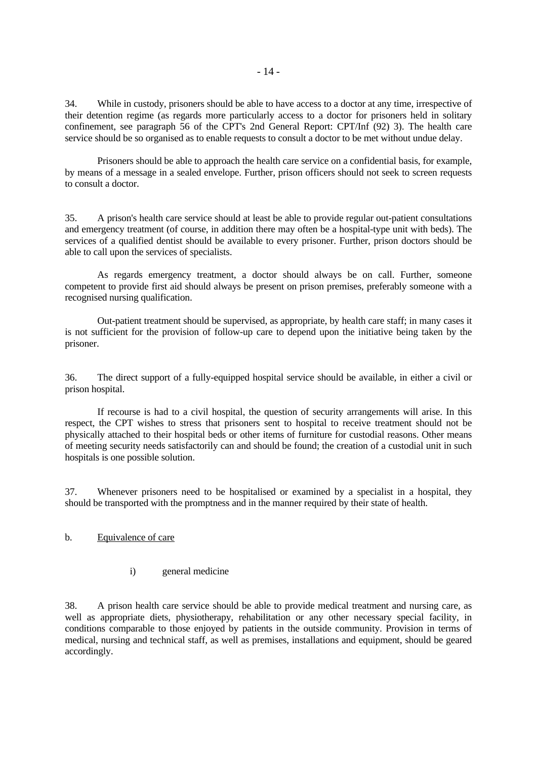34. While in custody, prisoners should be able to have access to a doctor at any time, irrespective of their detention regime (as regards more particularly access to a doctor for prisoners held in solitary confinement, see paragraph 56 of the CPT's 2nd General Report: CPT/Inf (92) 3). The health care service should be so organised as to enable requests to consult a doctor to be met without undue delay.

Prisoners should be able to approach the health care service on a confidential basis, for example, by means of a message in a sealed envelope. Further, prison officers should not seek to screen requests to consult a doctor.

35. A prison's health care service should at least be able to provide regular out-patient consultations and emergency treatment (of course, in addition there may often be a hospital-type unit with beds). The services of a qualified dentist should be available to every prisoner. Further, prison doctors should be able to call upon the services of specialists.

As regards emergency treatment, a doctor should always be on call. Further, someone competent to provide first aid should always be present on prison premises, preferably someone with a recognised nursing qualification.

Out-patient treatment should be supervised, as appropriate, by health care staff; in many cases it is not sufficient for the provision of follow-up care to depend upon the initiative being taken by the prisoner.

36. The direct support of a fully-equipped hospital service should be available, in either a civil or prison hospital.

If recourse is had to a civil hospital, the question of security arrangements will arise. In this respect, the CPT wishes to stress that prisoners sent to hospital to receive treatment should not be physically attached to their hospital beds or other items of furniture for custodial reasons. Other means of meeting security needs satisfactorily can and should be found; the creation of a custodial unit in such hospitals is one possible solution.

37. Whenever prisoners need to be hospitalised or examined by a specialist in a hospital, they should be transported with the promptness and in the manner required by their state of health.

## b. Equivalence of care

i) general medicine

38. A prison health care service should be able to provide medical treatment and nursing care, as well as appropriate diets, physiotherapy, rehabilitation or any other necessary special facility, in conditions comparable to those enjoyed by patients in the outside community. Provision in terms of medical, nursing and technical staff, as well as premises, installations and equipment, should be geared accordingly.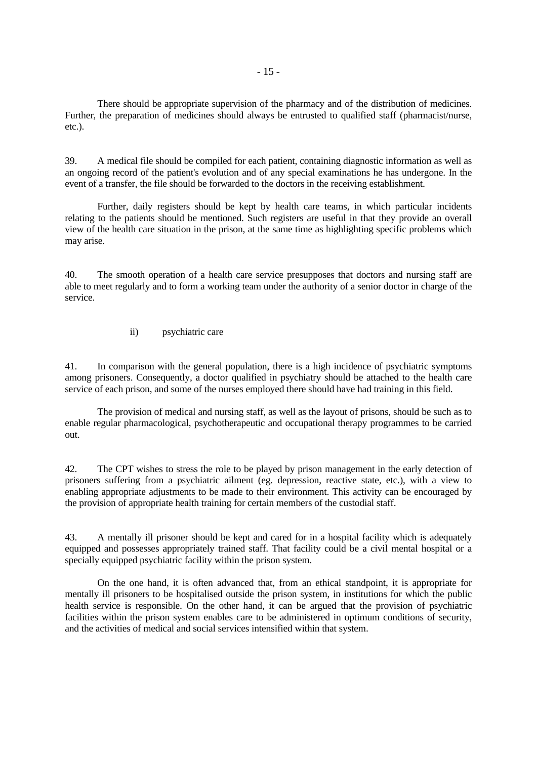There should be appropriate supervision of the pharmacy and of the distribution of medicines. Further, the preparation of medicines should always be entrusted to qualified staff (pharmacist/nurse, etc.).

39. A medical file should be compiled for each patient, containing diagnostic information as well as an ongoing record of the patient's evolution and of any special examinations he has undergone. In the event of a transfer, the file should be forwarded to the doctors in the receiving establishment.

Further, daily registers should be kept by health care teams, in which particular incidents relating to the patients should be mentioned. Such registers are useful in that they provide an overall view of the health care situation in the prison, at the same time as highlighting specific problems which may arise.

40. The smooth operation of a health care service presupposes that doctors and nursing staff are able to meet regularly and to form a working team under the authority of a senior doctor in charge of the service.

ii) psychiatric care

41. In comparison with the general population, there is a high incidence of psychiatric symptoms among prisoners. Consequently, a doctor qualified in psychiatry should be attached to the health care service of each prison, and some of the nurses employed there should have had training in this field.

The provision of medical and nursing staff, as well as the layout of prisons, should be such as to enable regular pharmacological, psychotherapeutic and occupational therapy programmes to be carried out.

42. The CPT wishes to stress the role to be played by prison management in the early detection of prisoners suffering from a psychiatric ailment (eg. depression, reactive state, etc.), with a view to enabling appropriate adjustments to be made to their environment. This activity can be encouraged by the provision of appropriate health training for certain members of the custodial staff.

43. A mentally ill prisoner should be kept and cared for in a hospital facility which is adequately equipped and possesses appropriately trained staff. That facility could be a civil mental hospital or a specially equipped psychiatric facility within the prison system.

On the one hand, it is often advanced that, from an ethical standpoint, it is appropriate for mentally ill prisoners to be hospitalised outside the prison system, in institutions for which the public health service is responsible. On the other hand, it can be argued that the provision of psychiatric facilities within the prison system enables care to be administered in optimum conditions of security, and the activities of medical and social services intensified within that system.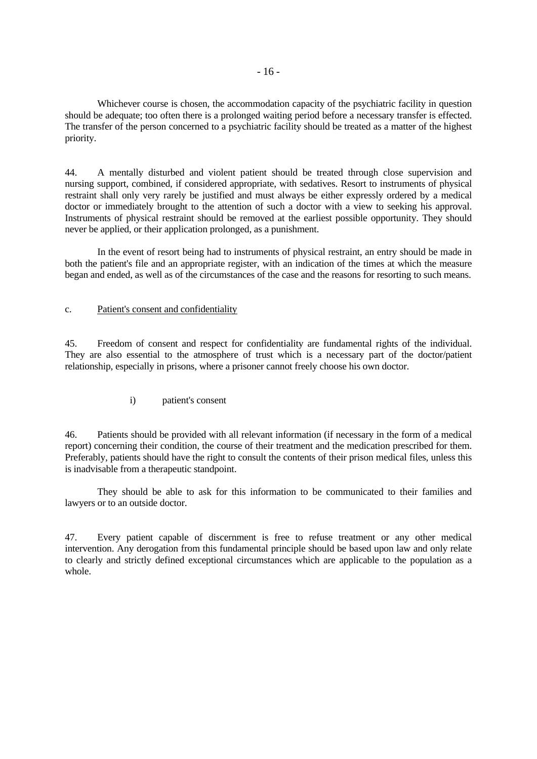Whichever course is chosen, the accommodation capacity of the psychiatric facility in question should be adequate; too often there is a prolonged waiting period before a necessary transfer is effected. The transfer of the person concerned to a psychiatric facility should be treated as a matter of the highest priority.

44. A mentally disturbed and violent patient should be treated through close supervision and nursing support, combined, if considered appropriate, with sedatives. Resort to instruments of physical restraint shall only very rarely be justified and must always be either expressly ordered by a medical doctor or immediately brought to the attention of such a doctor with a view to seeking his approval. Instruments of physical restraint should be removed at the earliest possible opportunity. They should never be applied, or their application prolonged, as a punishment.

In the event of resort being had to instruments of physical restraint, an entry should be made in both the patient's file and an appropriate register, with an indication of the times at which the measure began and ended, as well as of the circumstances of the case and the reasons for resorting to such means.

#### c. Patient's consent and confidentiality

45. Freedom of consent and respect for confidentiality are fundamental rights of the individual. They are also essential to the atmosphere of trust which is a necessary part of the doctor/patient relationship, especially in prisons, where a prisoner cannot freely choose his own doctor.

i) patient's consent

46. Patients should be provided with all relevant information (if necessary in the form of a medical report) concerning their condition, the course of their treatment and the medication prescribed for them. Preferably, patients should have the right to consult the contents of their prison medical files, unless this is inadvisable from a therapeutic standpoint.

They should be able to ask for this information to be communicated to their families and lawyers or to an outside doctor.

47. Every patient capable of discernment is free to refuse treatment or any other medical intervention. Any derogation from this fundamental principle should be based upon law and only relate to clearly and strictly defined exceptional circumstances which are applicable to the population as a whole.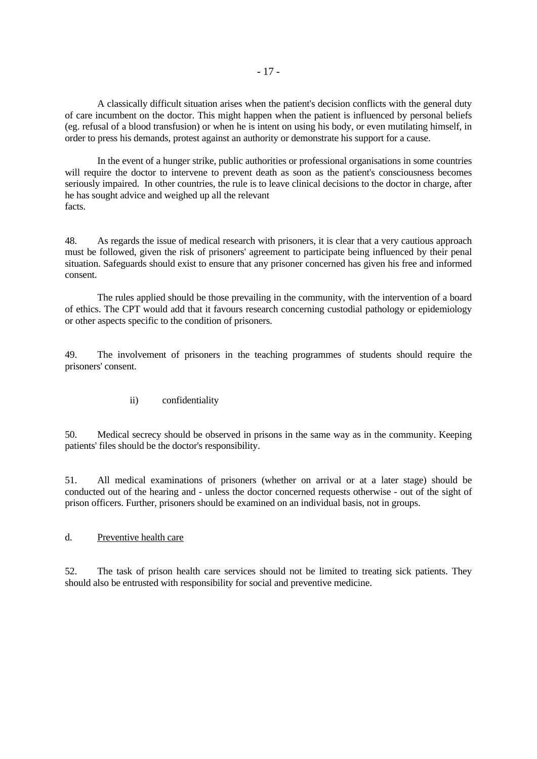A classically difficult situation arises when the patient's decision conflicts with the general duty of care incumbent on the doctor. This might happen when the patient is influenced by personal beliefs (eg. refusal of a blood transfusion) or when he is intent on using his body, or even mutilating himself, in order to press his demands, protest against an authority or demonstrate his support for a cause.

In the event of a hunger strike, public authorities or professional organisations in some countries will require the doctor to intervene to prevent death as soon as the patient's consciousness becomes seriously impaired. In other countries, the rule is to leave clinical decisions to the doctor in charge, after he has sought advice and weighed up all the relevant facts.

48. As regards the issue of medical research with prisoners, it is clear that a very cautious approach must be followed, given the risk of prisoners' agreement to participate being influenced by their penal situation. Safeguards should exist to ensure that any prisoner concerned has given his free and informed consent.

The rules applied should be those prevailing in the community, with the intervention of a board of ethics. The CPT would add that it favours research concerning custodial pathology or epidemiology or other aspects specific to the condition of prisoners.

49. The involvement of prisoners in the teaching programmes of students should require the prisoners' consent.

ii) confidentiality

50. Medical secrecy should be observed in prisons in the same way as in the community. Keeping patients' files should be the doctor's responsibility.

51. All medical examinations of prisoners (whether on arrival or at a later stage) should be conducted out of the hearing and - unless the doctor concerned requests otherwise - out of the sight of prison officers. Further, prisoners should be examined on an individual basis, not in groups.

## d. Preventive health care

52. The task of prison health care services should not be limited to treating sick patients. They should also be entrusted with responsibility for social and preventive medicine.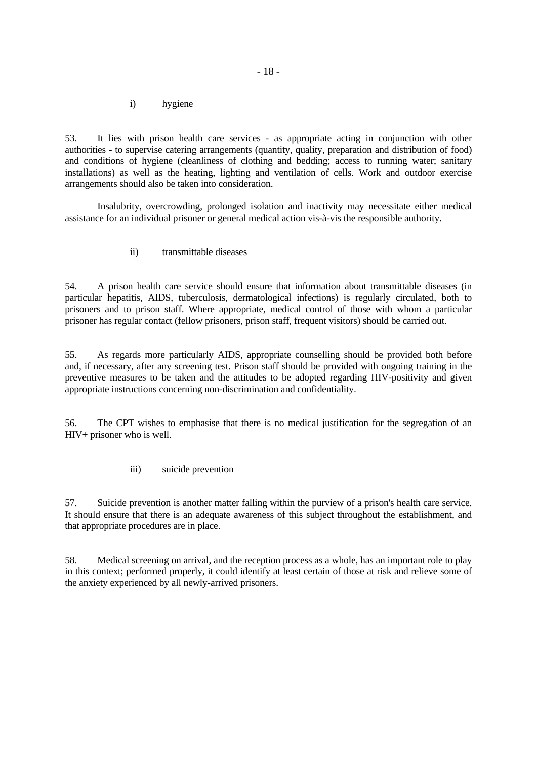i) hygiene

53. It lies with prison health care services - as appropriate acting in conjunction with other authorities - to supervise catering arrangements (quantity, quality, preparation and distribution of food) and conditions of hygiene (cleanliness of clothing and bedding; access to running water; sanitary installations) as well as the heating, lighting and ventilation of cells. Work and outdoor exercise arrangements should also be taken into consideration.

Insalubrity, overcrowding, prolonged isolation and inactivity may necessitate either medical assistance for an individual prisoner or general medical action vis-à-vis the responsible authority.

ii) transmittable diseases

54. A prison health care service should ensure that information about transmittable diseases (in particular hepatitis, AIDS, tuberculosis, dermatological infections) is regularly circulated, both to prisoners and to prison staff. Where appropriate, medical control of those with whom a particular prisoner has regular contact (fellow prisoners, prison staff, frequent visitors) should be carried out.

55. As regards more particularly AIDS, appropriate counselling should be provided both before and, if necessary, after any screening test. Prison staff should be provided with ongoing training in the preventive measures to be taken and the attitudes to be adopted regarding HIV-positivity and given appropriate instructions concerning non-discrimination and confidentiality.

56. The CPT wishes to emphasise that there is no medical justification for the segregation of an HIV+ prisoner who is well.

iii) suicide prevention

57. Suicide prevention is another matter falling within the purview of a prison's health care service. It should ensure that there is an adequate awareness of this subject throughout the establishment, and that appropriate procedures are in place.

58. Medical screening on arrival, and the reception process as a whole, has an important role to play in this context; performed properly, it could identify at least certain of those at risk and relieve some of the anxiety experienced by all newly-arrived prisoners.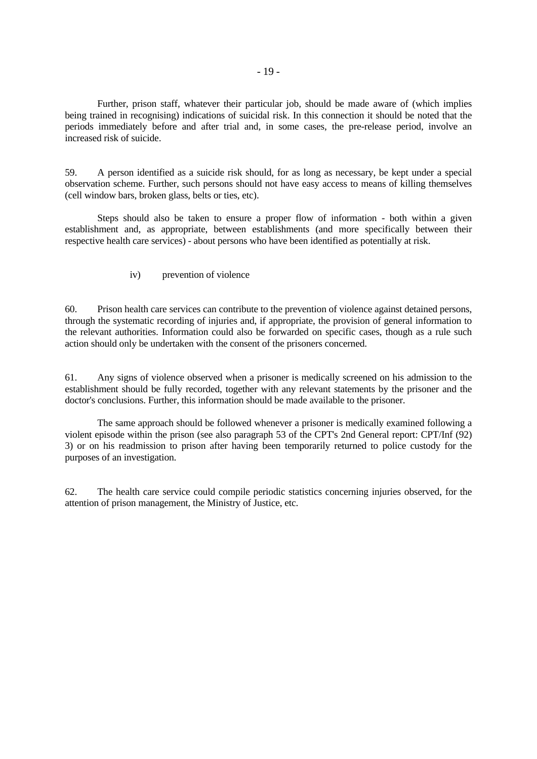Further, prison staff, whatever their particular job, should be made aware of (which implies being trained in recognising) indications of suicidal risk. In this connection it should be noted that the periods immediately before and after trial and, in some cases, the pre-release period, involve an increased risk of suicide.

59. A person identified as a suicide risk should, for as long as necessary, be kept under a special observation scheme. Further, such persons should not have easy access to means of killing themselves (cell window bars, broken glass, belts or ties, etc).

Steps should also be taken to ensure a proper flow of information - both within a given establishment and, as appropriate, between establishments (and more specifically between their respective health care services) - about persons who have been identified as potentially at risk.

iv) prevention of violence

60. Prison health care services can contribute to the prevention of violence against detained persons, through the systematic recording of injuries and, if appropriate, the provision of general information to the relevant authorities. Information could also be forwarded on specific cases, though as a rule such action should only be undertaken with the consent of the prisoners concerned.

61. Any signs of violence observed when a prisoner is medically screened on his admission to the establishment should be fully recorded, together with any relevant statements by the prisoner and the doctor's conclusions. Further, this information should be made available to the prisoner.

The same approach should be followed whenever a prisoner is medically examined following a violent episode within the prison (see also paragraph 53 of the CPT's 2nd General report: CPT/Inf (92) 3) or on his readmission to prison after having been temporarily returned to police custody for the purposes of an investigation.

62. The health care service could compile periodic statistics concerning injuries observed, for the attention of prison management, the Ministry of Justice, etc.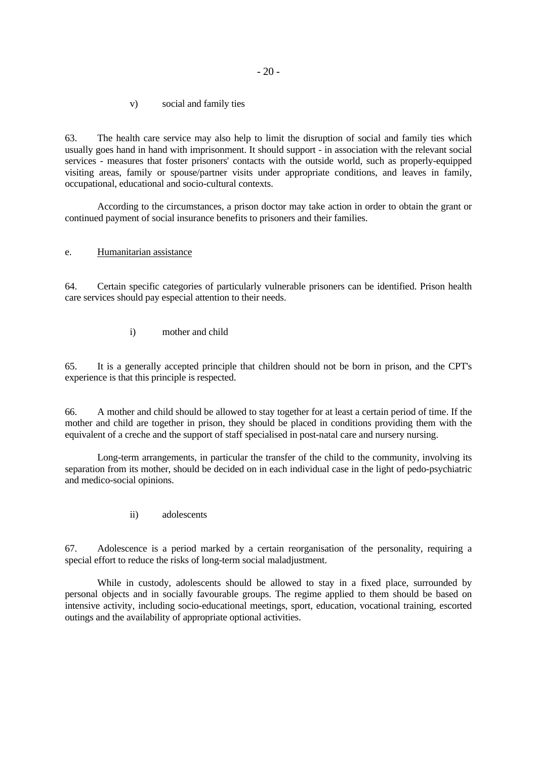v) social and family ties

63. The health care service may also help to limit the disruption of social and family ties which usually goes hand in hand with imprisonment. It should support - in association with the relevant social services - measures that foster prisoners' contacts with the outside world, such as properly-equipped visiting areas, family or spouse/partner visits under appropriate conditions, and leaves in family, occupational, educational and socio-cultural contexts.

According to the circumstances, a prison doctor may take action in order to obtain the grant or continued payment of social insurance benefits to prisoners and their families.

## e. Humanitarian assistance

64. Certain specific categories of particularly vulnerable prisoners can be identified. Prison health care services should pay especial attention to their needs.

i) mother and child

65. It is a generally accepted principle that children should not be born in prison, and the CPT's experience is that this principle is respected.

66. A mother and child should be allowed to stay together for at least a certain period of time. If the mother and child are together in prison, they should be placed in conditions providing them with the equivalent of a creche and the support of staff specialised in post-natal care and nursery nursing.

Long-term arrangements, in particular the transfer of the child to the community, involving its separation from its mother, should be decided on in each individual case in the light of pedo-psychiatric and medico-social opinions.

ii) adolescents

67. Adolescence is a period marked by a certain reorganisation of the personality, requiring a special effort to reduce the risks of long-term social maladjustment.

While in custody, adolescents should be allowed to stay in a fixed place, surrounded by personal objects and in socially favourable groups. The regime applied to them should be based on intensive activity, including socio-educational meetings, sport, education, vocational training, escorted outings and the availability of appropriate optional activities.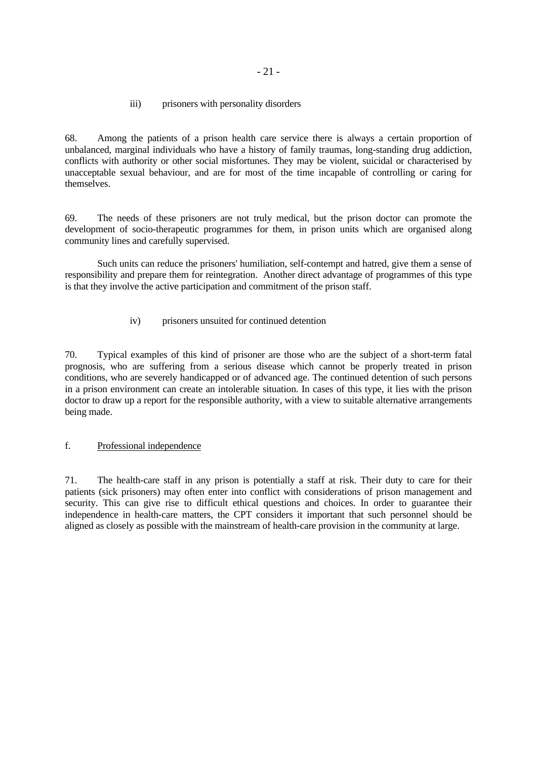## iii) prisoners with personality disorders

68. Among the patients of a prison health care service there is always a certain proportion of unbalanced, marginal individuals who have a history of family traumas, long-standing drug addiction, conflicts with authority or other social misfortunes. They may be violent, suicidal or characterised by unacceptable sexual behaviour, and are for most of the time incapable of controlling or caring for themselves.

69. The needs of these prisoners are not truly medical, but the prison doctor can promote the development of socio-therapeutic programmes for them, in prison units which are organised along community lines and carefully supervised.

Such units can reduce the prisoners' humiliation, self-contempt and hatred, give them a sense of responsibility and prepare them for reintegration. Another direct advantage of programmes of this type is that they involve the active participation and commitment of the prison staff.

iv) prisoners unsuited for continued detention

70. Typical examples of this kind of prisoner are those who are the subject of a short-term fatal prognosis, who are suffering from a serious disease which cannot be properly treated in prison conditions, who are severely handicapped or of advanced age. The continued detention of such persons in a prison environment can create an intolerable situation. In cases of this type, it lies with the prison doctor to draw up a report for the responsible authority, with a view to suitable alternative arrangements being made.

## f. Professional independence

71. The health-care staff in any prison is potentially a staff at risk. Their duty to care for their patients (sick prisoners) may often enter into conflict with considerations of prison management and security. This can give rise to difficult ethical questions and choices. In order to guarantee their independence in health-care matters, the CPT considers it important that such personnel should be aligned as closely as possible with the mainstream of health-care provision in the community at large.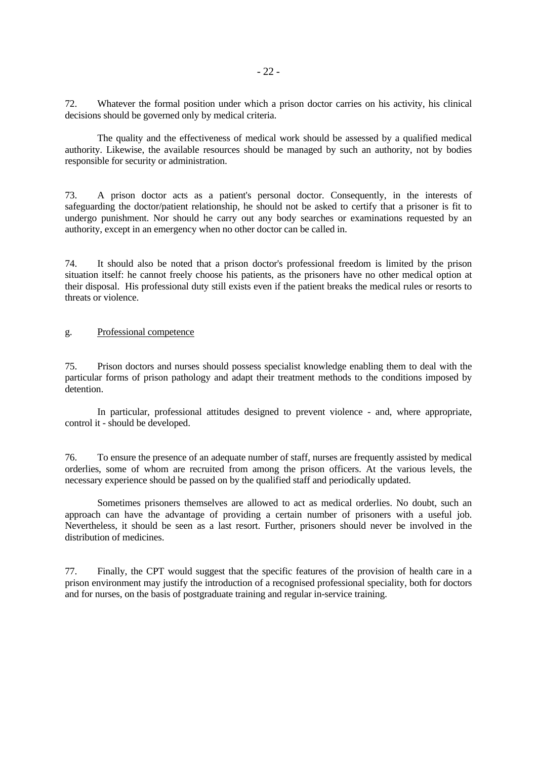72. Whatever the formal position under which a prison doctor carries on his activity, his clinical decisions should be governed only by medical criteria.

The quality and the effectiveness of medical work should be assessed by a qualified medical authority. Likewise, the available resources should be managed by such an authority, not by bodies responsible for security or administration.

73. A prison doctor acts as a patient's personal doctor. Consequently, in the interests of safeguarding the doctor/patient relationship, he should not be asked to certify that a prisoner is fit to undergo punishment. Nor should he carry out any body searches or examinations requested by an authority, except in an emergency when no other doctor can be called in.

74. It should also be noted that a prison doctor's professional freedom is limited by the prison situation itself: he cannot freely choose his patients, as the prisoners have no other medical option at their disposal. His professional duty still exists even if the patient breaks the medical rules or resorts to threats or violence.

#### g. Professional competence

75. Prison doctors and nurses should possess specialist knowledge enabling them to deal with the particular forms of prison pathology and adapt their treatment methods to the conditions imposed by detention.

In particular, professional attitudes designed to prevent violence - and, where appropriate, control it - should be developed.

76. To ensure the presence of an adequate number of staff, nurses are frequently assisted by medical orderlies, some of whom are recruited from among the prison officers. At the various levels, the necessary experience should be passed on by the qualified staff and periodically updated.

Sometimes prisoners themselves are allowed to act as medical orderlies. No doubt, such an approach can have the advantage of providing a certain number of prisoners with a useful job. Nevertheless, it should be seen as a last resort. Further, prisoners should never be involved in the distribution of medicines.

77. Finally, the CPT would suggest that the specific features of the provision of health care in a prison environment may justify the introduction of a recognised professional speciality, both for doctors and for nurses, on the basis of postgraduate training and regular in-service training.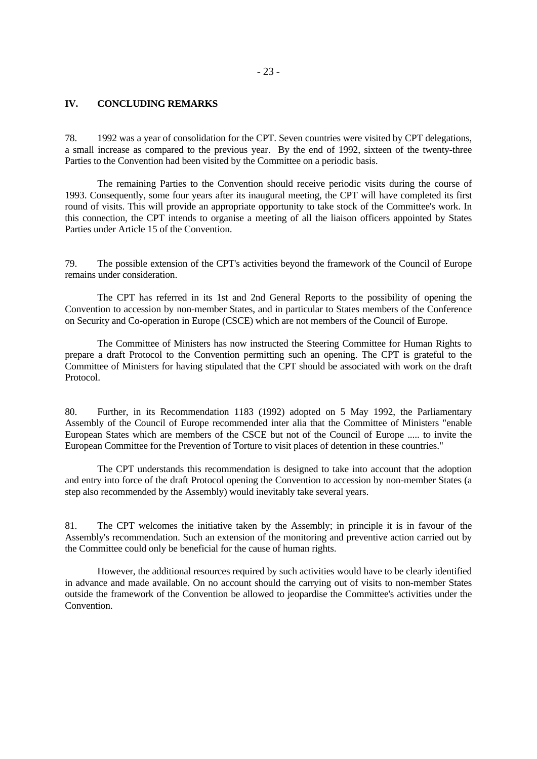## **IV. CONCLUDING REMARKS**

78. 1992 was a year of consolidation for the CPT. Seven countries were visited by CPT delegations, a small increase as compared to the previous year. By the end of 1992, sixteen of the twenty-three Parties to the Convention had been visited by the Committee on a periodic basis.

The remaining Parties to the Convention should receive periodic visits during the course of 1993. Consequently, some four years after its inaugural meeting, the CPT will have completed its first round of visits. This will provide an appropriate opportunity to take stock of the Committee's work. In this connection, the CPT intends to organise a meeting of all the liaison officers appointed by States Parties under Article 15 of the Convention.

79. The possible extension of the CPT's activities beyond the framework of the Council of Europe remains under consideration.

The CPT has referred in its 1st and 2nd General Reports to the possibility of opening the Convention to accession by non-member States, and in particular to States members of the Conference on Security and Co-operation in Europe (CSCE) which are not members of the Council of Europe.

The Committee of Ministers has now instructed the Steering Committee for Human Rights to prepare a draft Protocol to the Convention permitting such an opening. The CPT is grateful to the Committee of Ministers for having stipulated that the CPT should be associated with work on the draft Protocol.

80. Further, in its Recommendation 1183 (1992) adopted on 5 May 1992, the Parliamentary Assembly of the Council of Europe recommended inter alia that the Committee of Ministers "enable European States which are members of the CSCE but not of the Council of Europe ..... to invite the European Committee for the Prevention of Torture to visit places of detention in these countries."

The CPT understands this recommendation is designed to take into account that the adoption and entry into force of the draft Protocol opening the Convention to accession by non-member States (a step also recommended by the Assembly) would inevitably take several years.

81. The CPT welcomes the initiative taken by the Assembly; in principle it is in favour of the Assembly's recommendation. Such an extension of the monitoring and preventive action carried out by the Committee could only be beneficial for the cause of human rights.

However, the additional resources required by such activities would have to be clearly identified in advance and made available. On no account should the carrying out of visits to non-member States outside the framework of the Convention be allowed to jeopardise the Committee's activities under the **Convention**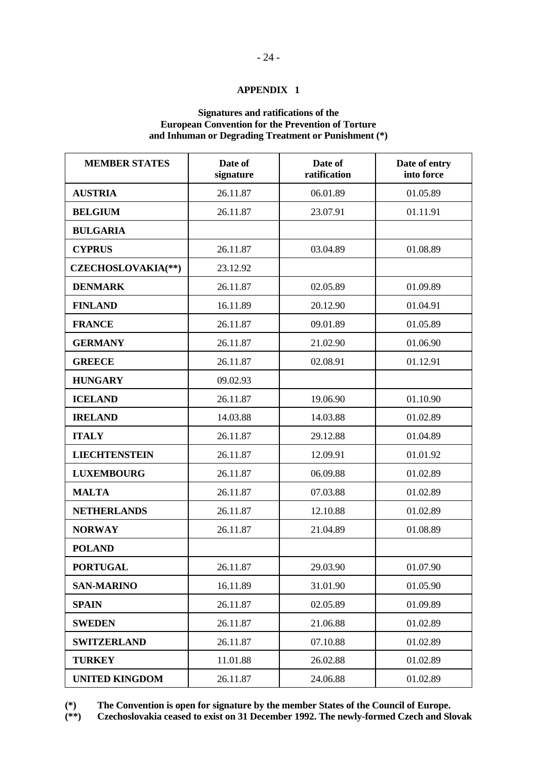## **APPENDIX 1**

## **Signatures and ratifications of the European Convention for the Prevention of Torture and Inhuman or Degrading Treatment or Punishment (\*)**

| <b>MEMBER STATES</b>      | Date of<br>signature | Date of<br>ratification | Date of entry<br>into force |
|---------------------------|----------------------|-------------------------|-----------------------------|
| <b>AUSTRIA</b>            | 26.11.87             | 06.01.89                | 01.05.89                    |
| <b>BELGIUM</b>            | 26.11.87             | 23.07.91                | 01.11.91                    |
| <b>BULGARIA</b>           |                      |                         |                             |
| <b>CYPRUS</b>             | 26.11.87             | 03.04.89                | 01.08.89                    |
| <b>CZECHOSLOVAKIA(**)</b> | 23.12.92             |                         |                             |
| <b>DENMARK</b>            | 26.11.87             | 02.05.89                | 01.09.89                    |
| <b>FINLAND</b>            | 16.11.89             | 20.12.90                | 01.04.91                    |
| <b>FRANCE</b>             | 26.11.87             | 09.01.89                | 01.05.89                    |
| <b>GERMANY</b>            | 26.11.87             | 21.02.90                | 01.06.90                    |
| <b>GREECE</b>             | 26.11.87             | 02.08.91                | 01.12.91                    |
| <b>HUNGARY</b>            | 09.02.93             |                         |                             |
| <b>ICELAND</b>            | 26.11.87             | 19.06.90                | 01.10.90                    |
| <b>IRELAND</b>            | 14.03.88             | 14.03.88                | 01.02.89                    |
| <b>ITALY</b>              | 26.11.87             | 29.12.88                | 01.04.89                    |
| <b>LIECHTENSTEIN</b>      | 26.11.87             | 12.09.91                | 01.01.92                    |
| <b>LUXEMBOURG</b>         | 26.11.87             | 06.09.88                | 01.02.89                    |
| <b>MALTA</b>              | 26.11.87             | 07.03.88                | 01.02.89                    |
| <b>NETHERLANDS</b>        | 26.11.87             | 12.10.88                | 01.02.89                    |
| <b>NORWAY</b>             | 26.11.87             | 21.04.89                | 01.08.89                    |
| <b>POLAND</b>             |                      |                         |                             |
| <b>PORTUGAL</b>           | 26.11.87             | 29.03.90                | 01.07.90                    |
| <b>SAN-MARINO</b>         | 16.11.89             | 31.01.90                | 01.05.90                    |
| <b>SPAIN</b>              | 26.11.87             | 02.05.89                | 01.09.89                    |
| <b>SWEDEN</b>             | 26.11.87             | 21.06.88                | 01.02.89                    |
| <b>SWITZERLAND</b>        | 26.11.87             | 07.10.88                | 01.02.89                    |
| <b>TURKEY</b>             | 11.01.88             | 26.02.88                | 01.02.89                    |
| <b>UNITED KINGDOM</b>     | 26.11.87             | 24.06.88                | 01.02.89                    |

(\*) The Convention is open for signature by the member States of the Council of Europe.<br>
(\*\*) Czechoslovakia ceased to exist on 31 December 1992. The newly-formed Czech and Sle

**(\*\*) Czechoslovakia ceased to exist on 31 December 1992. The newly-formed Czech and Slovak**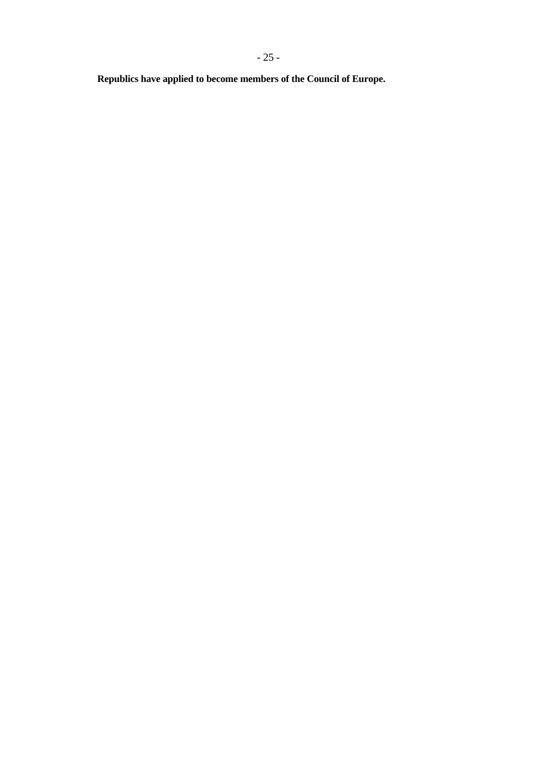**Republics have applied to become members of the Council of Europe.**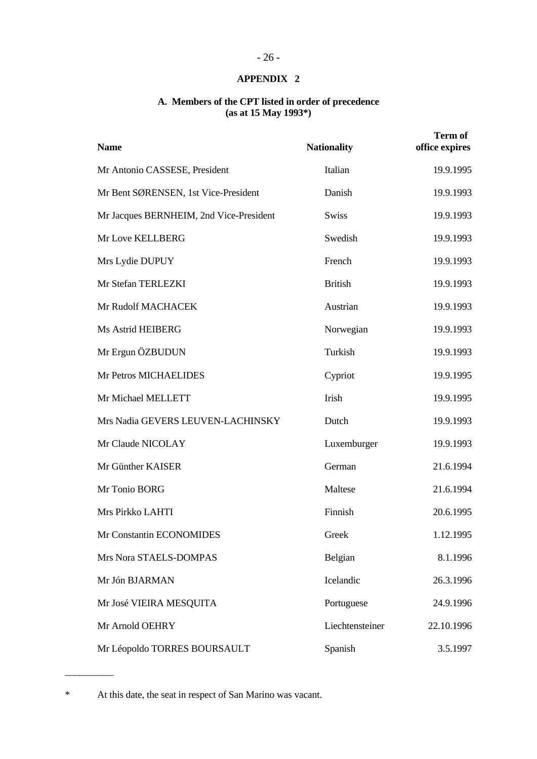## **APPENDIX 2**

## **A. Members of the CPT listed in order of precedence (as at 15 May 1993\*)**

| <b>Name</b>                             | <b>Nationality</b> | <b>Term of</b><br>office expires |
|-----------------------------------------|--------------------|----------------------------------|
| Mr Antonio CASSESE, President           | Italian            | 19.9.1995                        |
| Mr Bent SØRENSEN, 1st Vice-President    | Danish             | 19.9.1993                        |
| Mr Jacques BERNHEIM, 2nd Vice-President | <b>Swiss</b>       | 19.9.1993                        |
| Mr Love KELLBERG                        | Swedish            | 19.9.1993                        |
| Mrs Lydie DUPUY                         | French             | 19.9.1993                        |
| Mr Stefan TERLEZKI                      | <b>British</b>     | 19.9.1993                        |
| Mr Rudolf MACHACEK                      | Austrian           | 19.9.1993                        |
| Ms Astrid HEIBERG                       | Norwegian          | 19.9.1993                        |
| Mr Ergun ÖZBUDUN                        | Turkish            | 19.9.1993                        |
| Mr Petros MICHAELIDES                   | Cypriot            | 19.9.1995                        |
| Mr Michael MELLETT                      | Irish              | 19.9.1995                        |
| Mrs Nadia GEVERS LEUVEN-LACHINSKY       | Dutch              | 19.9.1993                        |
| Mr Claude NICOLAY                       | Luxemburger        | 19.9.1993                        |
| Mr Günther KAISER                       | German             | 21.6.1994                        |
| Mr Tonio BORG                           | Maltese            | 21.6.1994                        |
| Mrs Pirkko LAHTI                        | Finnish            | 20.6.1995                        |
| Mr Constantin ECONOMIDES                | Greek              | 1.12.1995                        |
| Mrs Nora STAELS-DOMPAS                  | Belgian            | 8.1.1996                         |
| Mr Jón BJARMAN                          | Icelandic          | 26.3.1996                        |
| Mr José VIEIRA MESQUITA                 | Portuguese         | 24.9.1996                        |
| Mr Arnold OEHRY                         | Liechtensteiner    | 22.10.1996                       |
| Mr Léopoldo TORRES BOURSAULT            | Spanish            | 3.5.1997                         |

<sup>\*</sup> At this date, the seat in respect of San Marino was vacant.

\_\_\_\_\_\_\_\_\_\_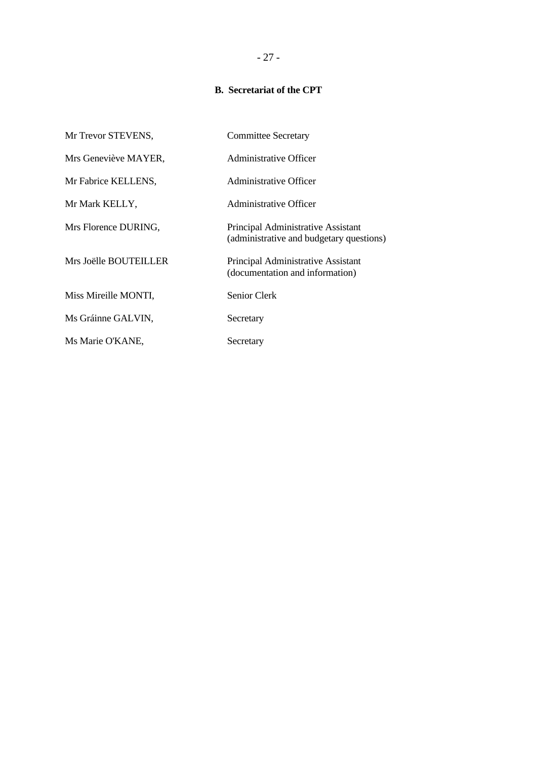## **B. Secretariat of the CPT**

| Mr Trevor STEVENS,    | <b>Committee Secretary</b>                                                     |
|-----------------------|--------------------------------------------------------------------------------|
| Mrs Geneviève MAYER,  | Administrative Officer                                                         |
| Mr Fabrice KELLENS,   | Administrative Officer                                                         |
| Mr Mark KELLY,        | <b>Administrative Officer</b>                                                  |
| Mrs Florence DURING,  | Principal Administrative Assistant<br>(administrative and budgetary questions) |
| Mrs Joëlle BOUTEILLER | Principal Administrative Assistant<br>(documentation and information)          |
| Miss Mireille MONTI,  | Senior Clerk                                                                   |
| Ms Gráinne GALVIN,    | Secretary                                                                      |
| Ms Marie O'KANE,      | Secretary                                                                      |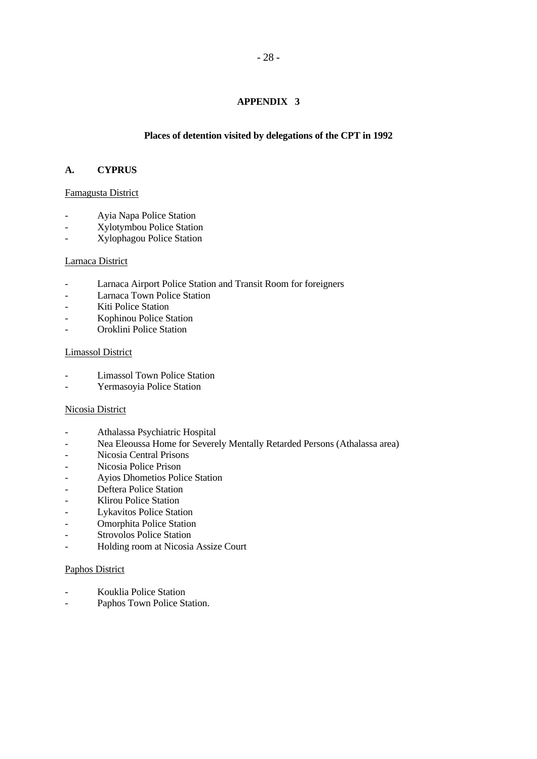## **APPENDIX 3**

## **Places of detention visited by delegations of the CPT in 1992**

## **A. CYPRUS**

## Famagusta District

- Ayia Napa Police Station
- Xylotymbou Police Station
- Xylophagou Police Station

#### Larnaca District

- Larnaca Airport Police Station and Transit Room for foreigners
- Larnaca Town Police Station
- Kiti Police Station
- Kophinou Police Station
- Oroklini Police Station

#### Limassol District

- Limassol Town Police Station
- Yermasoyia Police Station

#### Nicosia District

- Athalassa Psychiatric Hospital
- Nea Eleoussa Home for Severely Mentally Retarded Persons (Athalassa area)
- Nicosia Central Prisons
- Nicosia Police Prison
- Ayios Dhometios Police Station
- Deftera Police Station
- Klirou Police Station
- Lykavitos Police Station
- Omorphita Police Station
- Strovolos Police Station
- Holding room at Nicosia Assize Court

#### Paphos District

- Kouklia Police Station
- Paphos Town Police Station.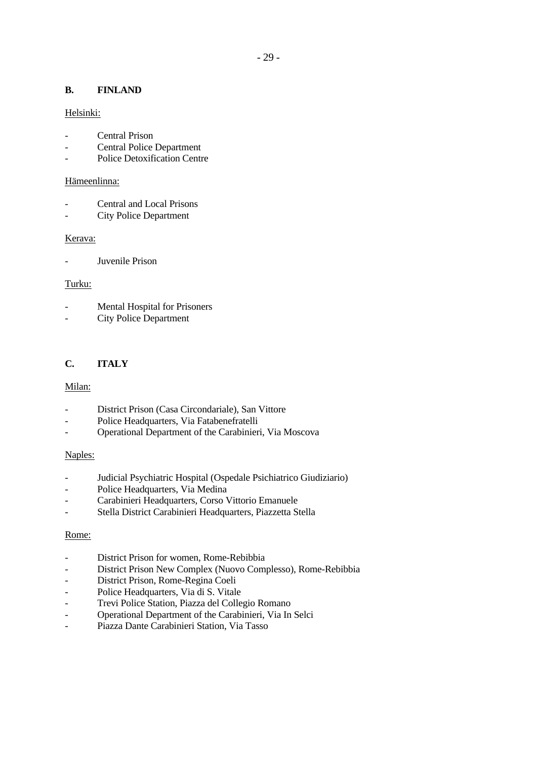## **B. FINLAND**

## Helsinki:

- Central Prison
- Central Police Department
- Police Detoxification Centre

## Hämeenlinna:

- Central and Local Prisons
- City Police Department

## Kerava:

- Juvenile Prison

## Turku:

- Mental Hospital for Prisoners
- City Police Department

## **C. ITALY**

## Milan:

- District Prison (Casa Circondariale), San Vittore
- Police Headquarters, Via Fatabenefratelli
- Operational Department of the Carabinieri, Via Moscova

## Naples:

- Judicial Psychiatric Hospital (Ospedale Psichiatrico Giudiziario)
- Police Headquarters, Via Medina
- Carabinieri Headquarters, Corso Vittorio Emanuele
- Stella District Carabinieri Headquarters, Piazzetta Stella

## Rome:

- District Prison for women, Rome-Rebibbia
- District Prison New Complex (Nuovo Complesso), Rome-Rebibbia
- District Prison, Rome-Regina Coeli
- Police Headquarters, Via di S. Vitale
- Trevi Police Station, Piazza del Collegio Romano
- Operational Department of the Carabinieri, Via In Selci
- Piazza Dante Carabinieri Station, Via Tasso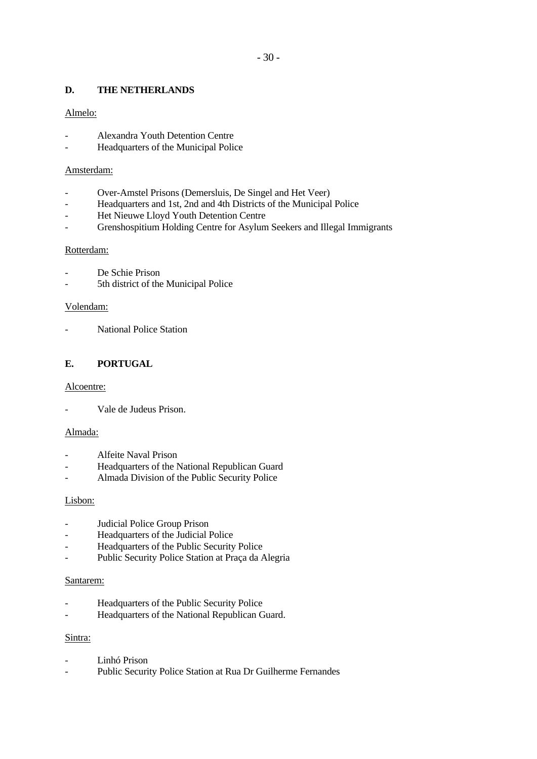## **D. THE NETHERLANDS**

## Almelo:

- Alexandra Youth Detention Centre
- Headquarters of the Municipal Police

## Amsterdam:

- Over-Amstel Prisons (Demersluis, De Singel and Het Veer)
- Headquarters and 1st, 2nd and 4th Districts of the Municipal Police
- Het Nieuwe Lloyd Youth Detention Centre
- Grenshospitium Holding Centre for Asylum Seekers and Illegal Immigrants

## Rotterdam:

- De Schie Prison
- 5th district of the Municipal Police

## Volendam:

- National Police Station

## **E. PORTUGAL**

## Alcoentre:

Vale de Judeus Prison.

## Almada:

- Alfeite Naval Prison
- Headquarters of the National Republican Guard
- Almada Division of the Public Security Police

## Lisbon:

- Judicial Police Group Prison
- Headquarters of the Judicial Police
- Headquarters of the Public Security Police
- Public Security Police Station at Praça da Alegria

## Santarem:

- Headquarters of the Public Security Police
- Headquarters of the National Republican Guard.

## Sintra:

- Linhó Prison
- Public Security Police Station at Rua Dr Guilherme Fernandes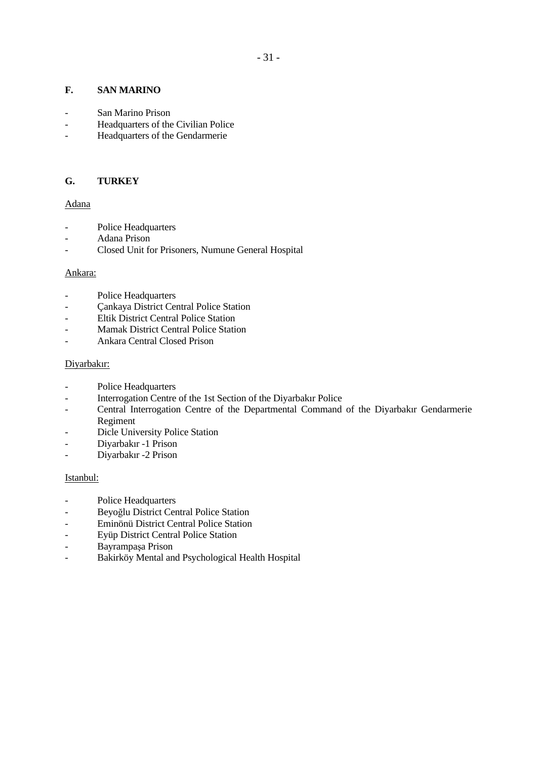## **F. SAN MARINO**

- San Marino Prison
- Headquarters of the Civilian Police
- Headquarters of the Gendarmerie

## **G. TURKEY**

## Adana

- Police Headquarters
- Adana Prison
- Closed Unit for Prisoners, Numune General Hospital

## Ankara:

- Police Headquarters
- Çankaya District Central Police Station
- Eltik District Central Police Station
- Mamak District Central Police Station
- Ankara Central Closed Prison

## Diyarbakır:

- Police Headquarters
- Interrogation Centre of the 1st Section of the Diyarbakır Police
- Central Interrogation Centre of the Departmental Command of the Diyarbakır Gendarmerie Regiment
- Dicle University Police Station
- Diyarbakır -1 Prison
- Diyarbakır -2 Prison

## Istanbul:

- Police Headquarters
- Beyoğlu District Central Police Station
- Eminönü District Central Police Station
- Eyüp District Central Police Station
- Bayrampaşa Prison
- Bakirköy Mental and Psychological Health Hospital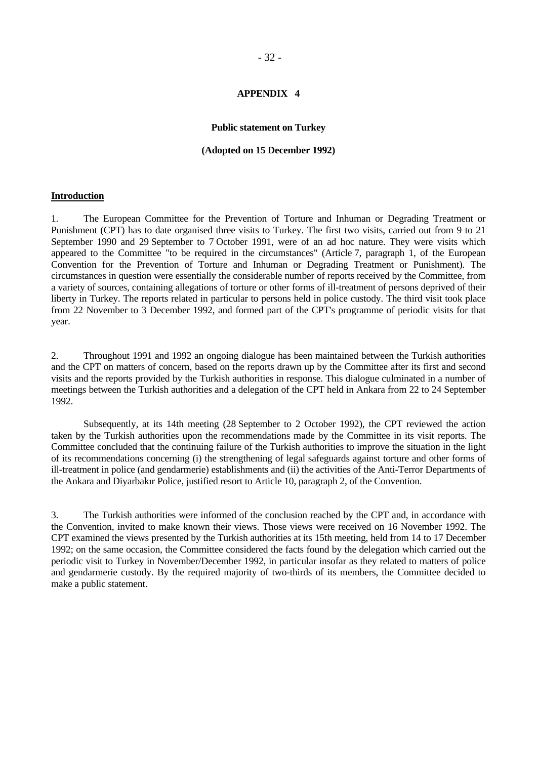#### **APPENDIX 4**

## **Public statement on Turkey**

#### **(Adopted on 15 December 1992)**

#### **Introduction**

1. The European Committee for the Prevention of Torture and Inhuman or Degrading Treatment or Punishment (CPT) has to date organised three visits to Turkey. The first two visits, carried out from 9 to 21 September 1990 and 29 September to 7 October 1991, were of an ad hoc nature. They were visits which appeared to the Committee "to be required in the circumstances" (Article 7, paragraph 1, of the European Convention for the Prevention of Torture and Inhuman or Degrading Treatment or Punishment). The circumstances in question were essentially the considerable number of reports received by the Committee, from a variety of sources, containing allegations of torture or other forms of ill-treatment of persons deprived of their liberty in Turkey. The reports related in particular to persons held in police custody. The third visit took place from 22 November to 3 December 1992, and formed part of the CPT's programme of periodic visits for that year.

2. Throughout 1991 and 1992 an ongoing dialogue has been maintained between the Turkish authorities and the CPT on matters of concern, based on the reports drawn up by the Committee after its first and second visits and the reports provided by the Turkish authorities in response. This dialogue culminated in a number of meetings between the Turkish authorities and a delegation of the CPT held in Ankara from 22 to 24 September 1992.

Subsequently, at its 14th meeting (28 September to 2 October 1992), the CPT reviewed the action taken by the Turkish authorities upon the recommendations made by the Committee in its visit reports. The Committee concluded that the continuing failure of the Turkish authorities to improve the situation in the light of its recommendations concerning (i) the strengthening of legal safeguards against torture and other forms of ill-treatment in police (and gendarmerie) establishments and (ii) the activities of the Anti-Terror Departments of the Ankara and Diyarbakır Police, justified resort to Article 10, paragraph 2, of the Convention.

3. The Turkish authorities were informed of the conclusion reached by the CPT and, in accordance with the Convention, invited to make known their views. Those views were received on 16 November 1992. The CPT examined the views presented by the Turkish authorities at its 15th meeting, held from 14 to 17 December 1992; on the same occasion, the Committee considered the facts found by the delegation which carried out the periodic visit to Turkey in November/December 1992, in particular insofar as they related to matters of police and gendarmerie custody. By the required majority of two-thirds of its members, the Committee decided to make a public statement.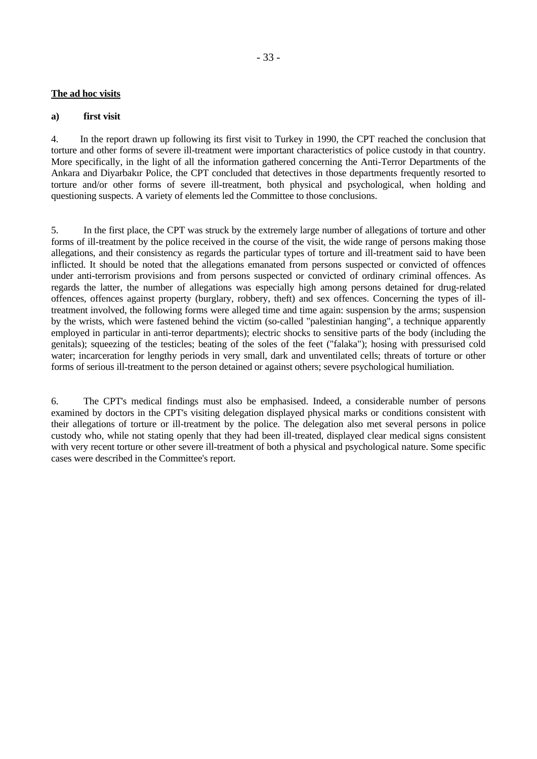## **The ad hoc visits**

#### **a) first visit**

4. In the report drawn up following its first visit to Turkey in 1990, the CPT reached the conclusion that torture and other forms of severe ill-treatment were important characteristics of police custody in that country. More specifically, in the light of all the information gathered concerning the Anti-Terror Departments of the Ankara and Diyarbakır Police, the CPT concluded that detectives in those departments frequently resorted to torture and/or other forms of severe ill-treatment, both physical and psychological, when holding and questioning suspects. A variety of elements led the Committee to those conclusions.

5. In the first place, the CPT was struck by the extremely large number of allegations of torture and other forms of ill-treatment by the police received in the course of the visit, the wide range of persons making those allegations, and their consistency as regards the particular types of torture and ill-treatment said to have been inflicted. It should be noted that the allegations emanated from persons suspected or convicted of offences under anti-terrorism provisions and from persons suspected or convicted of ordinary criminal offences. As regards the latter, the number of allegations was especially high among persons detained for drug-related offences, offences against property (burglary, robbery, theft) and sex offences. Concerning the types of illtreatment involved, the following forms were alleged time and time again: suspension by the arms; suspension by the wrists, which were fastened behind the victim (so-called "palestinian hanging", a technique apparently employed in particular in anti-terror departments); electric shocks to sensitive parts of the body (including the genitals); squeezing of the testicles; beating of the soles of the feet ("falaka"); hosing with pressurised cold water; incarceration for lengthy periods in very small, dark and unventilated cells; threats of torture or other forms of serious ill-treatment to the person detained or against others; severe psychological humiliation.

6. The CPT's medical findings must also be emphasised. Indeed, a considerable number of persons examined by doctors in the CPT's visiting delegation displayed physical marks or conditions consistent with their allegations of torture or ill-treatment by the police. The delegation also met several persons in police custody who, while not stating openly that they had been ill-treated, displayed clear medical signs consistent with very recent torture or other severe ill-treatment of both a physical and psychological nature. Some specific cases were described in the Committee's report.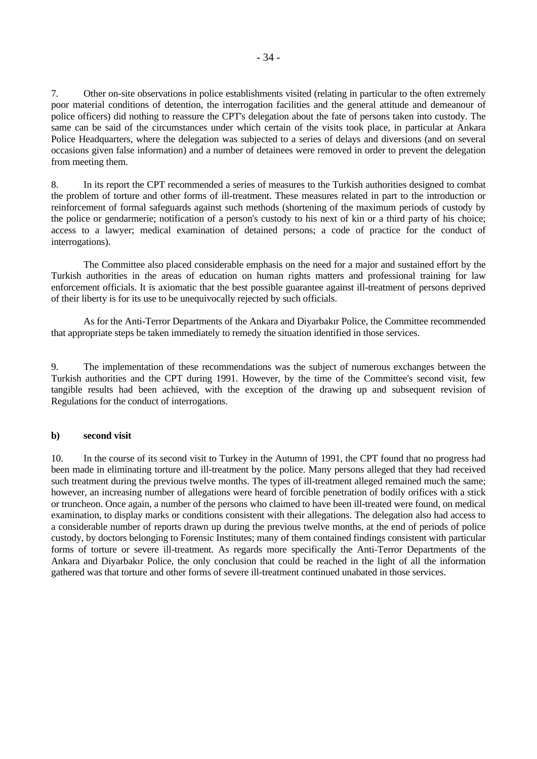7. Other on-site observations in police establishments visited (relating in particular to the often extremely poor material conditions of detention, the interrogation facilities and the general attitude and demeanour of police officers) did nothing to reassure the CPT's delegation about the fate of persons taken into custody. The same can be said of the circumstances under which certain of the visits took place, in particular at Ankara Police Headquarters, where the delegation was subjected to a series of delays and diversions (and on several occasions given false information) and a number of detainees were removed in order to prevent the delegation from meeting them.

8. In its report the CPT recommended a series of measures to the Turkish authorities designed to combat the problem of torture and other forms of ill-treatment. These measures related in part to the introduction or reinforcement of formal safeguards against such methods (shortening of the maximum periods of custody by the police or gendarmerie; notification of a person's custody to his next of kin or a third party of his choice; access to a lawyer; medical examination of detained persons; a code of practice for the conduct of interrogations).

The Committee also placed considerable emphasis on the need for a major and sustained effort by the Turkish authorities in the areas of education on human rights matters and professional training for law enforcement officials. It is axiomatic that the best possible guarantee against ill-treatment of persons deprived of their liberty is for its use to be unequivocally rejected by such officials.

As for the Anti-Terror Departments of the Ankara and Diyarbakır Police, the Committee recommended that appropriate steps be taken immediately to remedy the situation identified in those services.

9. The implementation of these recommendations was the subject of numerous exchanges between the Turkish authorities and the CPT during 1991. However, by the time of the Committee's second visit, few tangible results had been achieved, with the exception of the drawing up and subsequent revision of Regulations for the conduct of interrogations.

## **b) second visit**

10. In the course of its second visit to Turkey in the Autumn of 1991, the CPT found that no progress had been made in eliminating torture and ill-treatment by the police. Many persons alleged that they had received such treatment during the previous twelve months. The types of ill-treatment alleged remained much the same; however, an increasing number of allegations were heard of forcible penetration of bodily orifices with a stick or truncheon. Once again, a number of the persons who claimed to have been ill-treated were found, on medical examination, to display marks or conditions consistent with their allegations. The delegation also had access to a considerable number of reports drawn up during the previous twelve months, at the end of periods of police custody, by doctors belonging to Forensic Institutes; many of them contained findings consistent with particular forms of torture or severe ill-treatment. As regards more specifically the Anti-Terror Departments of the Ankara and Diyarbakır Police, the only conclusion that could be reached in the light of all the information gathered was that torture and other forms of severe ill-treatment continued unabated in those services.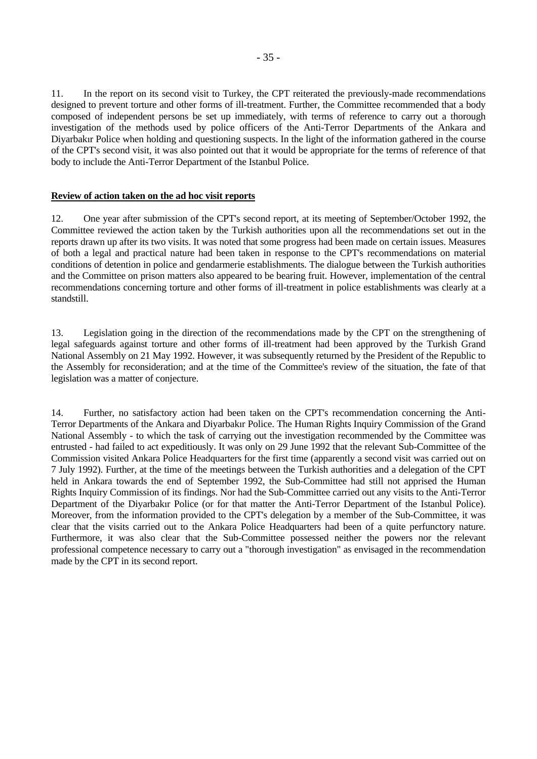11. In the report on its second visit to Turkey, the CPT reiterated the previously-made recommendations designed to prevent torture and other forms of ill-treatment. Further, the Committee recommended that a body composed of independent persons be set up immediately, with terms of reference to carry out a thorough investigation of the methods used by police officers of the Anti-Terror Departments of the Ankara and Diyarbakır Police when holding and questioning suspects. In the light of the information gathered in the course of the CPT's second visit, it was also pointed out that it would be appropriate for the terms of reference of that body to include the Anti-Terror Department of the Istanbul Police.

#### **Review of action taken on the ad hoc visit reports**

12. One year after submission of the CPT's second report, at its meeting of September/October 1992, the Committee reviewed the action taken by the Turkish authorities upon all the recommendations set out in the reports drawn up after its two visits. It was noted that some progress had been made on certain issues. Measures of both a legal and practical nature had been taken in response to the CPT's recommendations on material conditions of detention in police and gendarmerie establishments. The dialogue between the Turkish authorities and the Committee on prison matters also appeared to be bearing fruit. However, implementation of the central recommendations concerning torture and other forms of ill-treatment in police establishments was clearly at a standstill.

13. Legislation going in the direction of the recommendations made by the CPT on the strengthening of legal safeguards against torture and other forms of ill-treatment had been approved by the Turkish Grand National Assembly on 21 May 1992. However, it was subsequently returned by the President of the Republic to the Assembly for reconsideration; and at the time of the Committee's review of the situation, the fate of that legislation was a matter of conjecture.

14. Further, no satisfactory action had been taken on the CPT's recommendation concerning the Anti-Terror Departments of the Ankara and Diyarbakır Police. The Human Rights Inquiry Commission of the Grand National Assembly - to which the task of carrying out the investigation recommended by the Committee was entrusted - had failed to act expeditiously. It was only on 29 June 1992 that the relevant Sub-Committee of the Commission visited Ankara Police Headquarters for the first time (apparently a second visit was carried out on 7 July 1992). Further, at the time of the meetings between the Turkish authorities and a delegation of the CPT held in Ankara towards the end of September 1992, the Sub-Committee had still not apprised the Human Rights Inquiry Commission of its findings. Nor had the Sub-Committee carried out any visits to the Anti-Terror Department of the Diyarbakır Police (or for that matter the Anti-Terror Department of the Istanbul Police). Moreover, from the information provided to the CPT's delegation by a member of the Sub-Committee, it was clear that the visits carried out to the Ankara Police Headquarters had been of a quite perfunctory nature. Furthermore, it was also clear that the Sub-Committee possessed neither the powers nor the relevant professional competence necessary to carry out a "thorough investigation" as envisaged in the recommendation made by the CPT in its second report.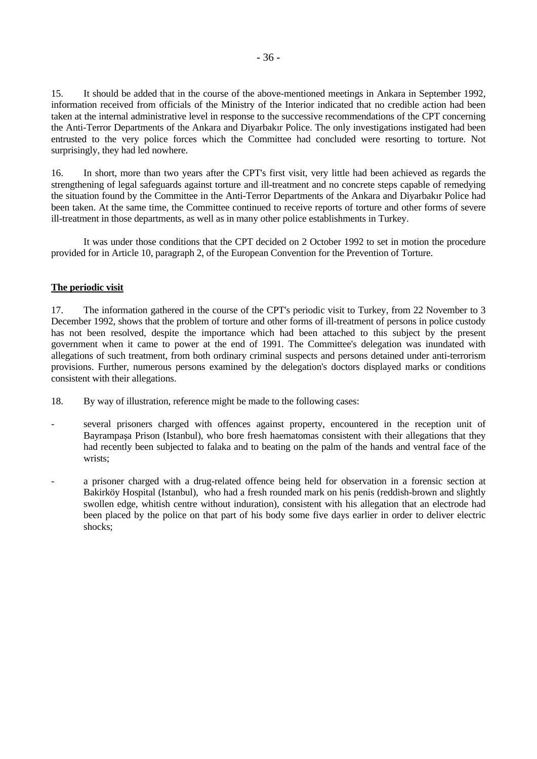15. It should be added that in the course of the above-mentioned meetings in Ankara in September 1992, information received from officials of the Ministry of the Interior indicated that no credible action had been taken at the internal administrative level in response to the successive recommendations of the CPT concerning the Anti-Terror Departments of the Ankara and Diyarbakır Police. The only investigations instigated had been entrusted to the very police forces which the Committee had concluded were resorting to torture. Not surprisingly, they had led nowhere.

16. In short, more than two years after the CPT's first visit, very little had been achieved as regards the strengthening of legal safeguards against torture and ill-treatment and no concrete steps capable of remedying the situation found by the Committee in the Anti-Terror Departments of the Ankara and Diyarbakır Police had been taken. At the same time, the Committee continued to receive reports of torture and other forms of severe ill-treatment in those departments, as well as in many other police establishments in Turkey.

It was under those conditions that the CPT decided on 2 October 1992 to set in motion the procedure provided for in Article 10, paragraph 2, of the European Convention for the Prevention of Torture.

#### **The periodic visit**

17. The information gathered in the course of the CPT's periodic visit to Turkey, from 22 November to 3 December 1992, shows that the problem of torture and other forms of ill-treatment of persons in police custody has not been resolved, despite the importance which had been attached to this subject by the present government when it came to power at the end of 1991. The Committee's delegation was inundated with allegations of such treatment, from both ordinary criminal suspects and persons detained under anti-terrorism provisions. Further, numerous persons examined by the delegation's doctors displayed marks or conditions consistent with their allegations.

- 18. By way of illustration, reference might be made to the following cases:
- several prisoners charged with offences against property, encountered in the reception unit of Bayrampaşa Prison (Istanbul), who bore fresh haematomas consistent with their allegations that they had recently been subjected to falaka and to beating on the palm of the hands and ventral face of the wrists;
- a prisoner charged with a drug-related offence being held for observation in a forensic section at Bakirköy Hospital (Istanbul), who had a fresh rounded mark on his penis (reddish-brown and slightly swollen edge, whitish centre without induration), consistent with his allegation that an electrode had been placed by the police on that part of his body some five days earlier in order to deliver electric shocks;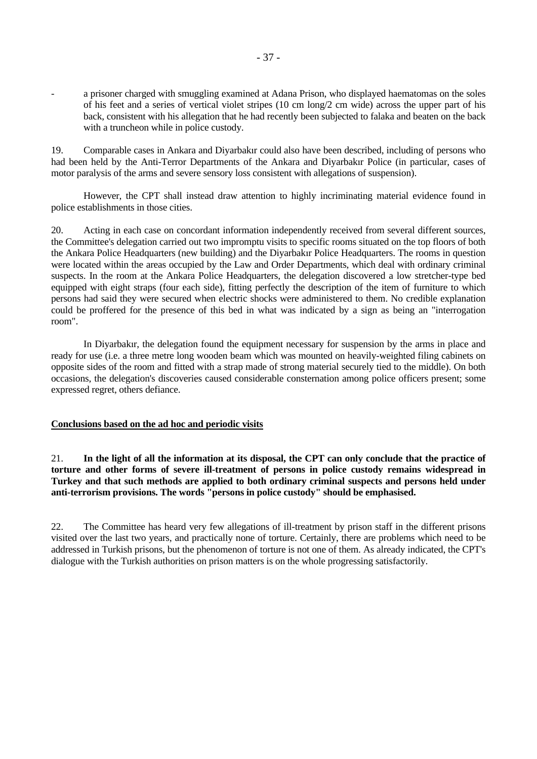a prisoner charged with smuggling examined at Adana Prison, who displayed haematomas on the soles of his feet and a series of vertical violet stripes (10 cm long/2 cm wide) across the upper part of his back, consistent with his allegation that he had recently been subjected to falaka and beaten on the back with a truncheon while in police custody.

19. Comparable cases in Ankara and Diyarbakır could also have been described, including of persons who had been held by the Anti-Terror Departments of the Ankara and Diyarbakır Police (in particular, cases of motor paralysis of the arms and severe sensory loss consistent with allegations of suspension).

However, the CPT shall instead draw attention to highly incriminating material evidence found in police establishments in those cities.

20. Acting in each case on concordant information independently received from several different sources, the Committee's delegation carried out two impromptu visits to specific rooms situated on the top floors of both the Ankara Police Headquarters (new building) and the Diyarbakır Police Headquarters. The rooms in question were located within the areas occupied by the Law and Order Departments, which deal with ordinary criminal suspects. In the room at the Ankara Police Headquarters, the delegation discovered a low stretcher-type bed equipped with eight straps (four each side), fitting perfectly the description of the item of furniture to which persons had said they were secured when electric shocks were administered to them. No credible explanation could be proffered for the presence of this bed in what was indicated by a sign as being an "interrogation room".

In Diyarbakır, the delegation found the equipment necessary for suspension by the arms in place and ready for use (i.e. a three metre long wooden beam which was mounted on heavily-weighted filing cabinets on opposite sides of the room and fitted with a strap made of strong material securely tied to the middle). On both occasions, the delegation's discoveries caused considerable consternation among police officers present; some expressed regret, others defiance.

## **Conclusions based on the ad hoc and periodic visits**

21. **In the light of all the information at its disposal, the CPT can only conclude that the practice of torture and other forms of severe ill-treatment of persons in police custody remains widespread in Turkey and that such methods are applied to both ordinary criminal suspects and persons held under anti-terrorism provisions. The words "persons in police custody" should be emphasised.** 

22. The Committee has heard very few allegations of ill-treatment by prison staff in the different prisons visited over the last two years, and practically none of torture. Certainly, there are problems which need to be addressed in Turkish prisons, but the phenomenon of torture is not one of them. As already indicated, the CPT's dialogue with the Turkish authorities on prison matters is on the whole progressing satisfactorily.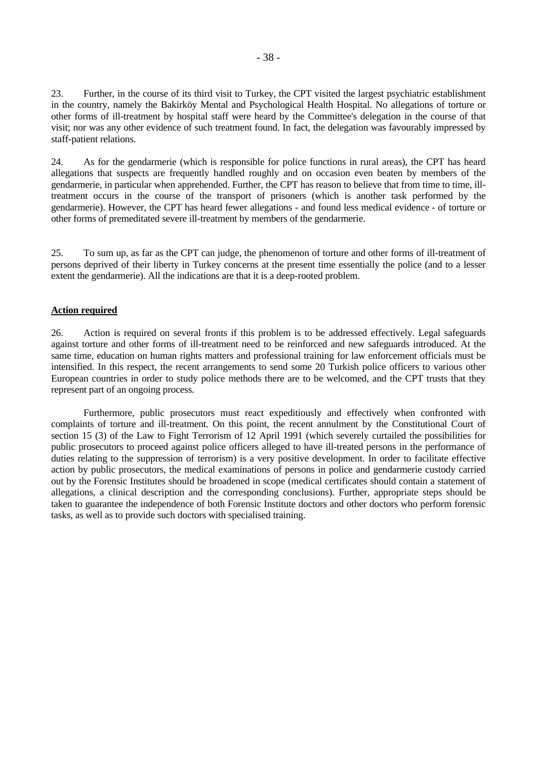23. Further, in the course of its third visit to Turkey, the CPT visited the largest psychiatric establishment in the country, namely the Bakirköy Mental and Psychological Health Hospital. No allegations of torture or other forms of ill-treatment by hospital staff were heard by the Committee's delegation in the course of that visit; nor was any other evidence of such treatment found. In fact, the delegation was favourably impressed by staff-patient relations.

24. As for the gendarmerie (which is responsible for police functions in rural areas), the CPT has heard allegations that suspects are frequently handled roughly and on occasion even beaten by members of the gendarmerie, in particular when apprehended. Further, the CPT has reason to believe that from time to time, illtreatment occurs in the course of the transport of prisoners (which is another task performed by the gendarmerie). However, the CPT has heard fewer allegations - and found less medical evidence - of torture or other forms of premeditated severe ill-treatment by members of the gendarmerie.

25. To sum up, as far as the CPT can judge, the phenomenon of torture and other forms of ill-treatment of persons deprived of their liberty in Turkey concerns at the present time essentially the police (and to a lesser extent the gendarmerie). All the indications are that it is a deep-rooted problem.

## **Action required**

26. Action is required on several fronts if this problem is to be addressed effectively. Legal safeguards against torture and other forms of ill-treatment need to be reinforced and new safeguards introduced. At the same time, education on human rights matters and professional training for law enforcement officials must be intensified. In this respect, the recent arrangements to send some 20 Turkish police officers to various other European countries in order to study police methods there are to be welcomed, and the CPT trusts that they represent part of an ongoing process.

Furthermore, public prosecutors must react expeditiously and effectively when confronted with complaints of torture and ill-treatment. On this point, the recent annulment by the Constitutional Court of section 15 (3) of the Law to Fight Terrorism of 12 April 1991 (which severely curtailed the possibilities for public prosecutors to proceed against police officers alleged to have ill-treated persons in the performance of duties relating to the suppression of terrorism) is a very positive development. In order to facilitate effective action by public prosecutors, the medical examinations of persons in police and gendarmerie custody carried out by the Forensic Institutes should be broadened in scope (medical certificates should contain a statement of allegations, a clinical description and the corresponding conclusions). Further, appropriate steps should be taken to guarantee the independence of both Forensic Institute doctors and other doctors who perform forensic tasks, as well as to provide such doctors with specialised training.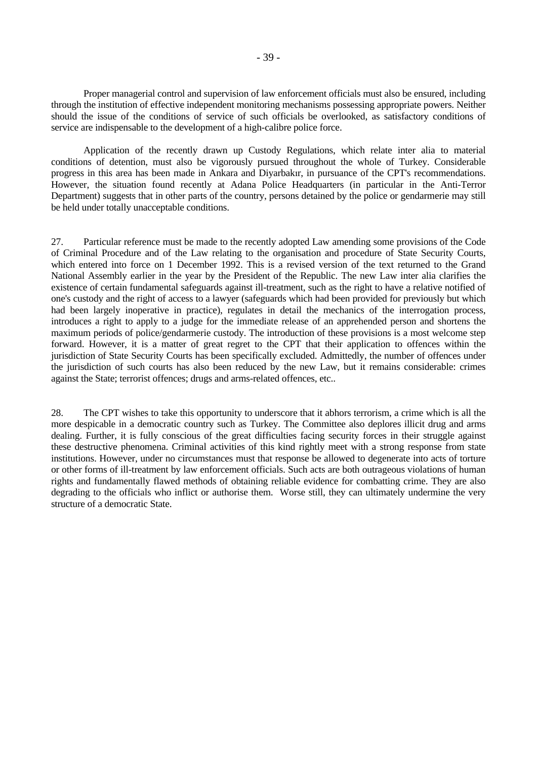Proper managerial control and supervision of law enforcement officials must also be ensured, including through the institution of effective independent monitoring mechanisms possessing appropriate powers. Neither should the issue of the conditions of service of such officials be overlooked, as satisfactory conditions of service are indispensable to the development of a high-calibre police force.

Application of the recently drawn up Custody Regulations, which relate inter alia to material conditions of detention, must also be vigorously pursued throughout the whole of Turkey. Considerable progress in this area has been made in Ankara and Diyarbakır, in pursuance of the CPT's recommendations. However, the situation found recently at Adana Police Headquarters (in particular in the Anti-Terror Department) suggests that in other parts of the country, persons detained by the police or gendarmerie may still be held under totally unacceptable conditions.

27. Particular reference must be made to the recently adopted Law amending some provisions of the Code of Criminal Procedure and of the Law relating to the organisation and procedure of State Security Courts, which entered into force on 1 December 1992. This is a revised version of the text returned to the Grand National Assembly earlier in the year by the President of the Republic. The new Law inter alia clarifies the existence of certain fundamental safeguards against ill-treatment, such as the right to have a relative notified of one's custody and the right of access to a lawyer (safeguards which had been provided for previously but which had been largely inoperative in practice), regulates in detail the mechanics of the interrogation process, introduces a right to apply to a judge for the immediate release of an apprehended person and shortens the maximum periods of police/gendarmerie custody. The introduction of these provisions is a most welcome step forward. However, it is a matter of great regret to the CPT that their application to offences within the jurisdiction of State Security Courts has been specifically excluded. Admittedly, the number of offences under the jurisdiction of such courts has also been reduced by the new Law, but it remains considerable: crimes against the State; terrorist offences; drugs and arms-related offences, etc..

28. The CPT wishes to take this opportunity to underscore that it abhors terrorism, a crime which is all the more despicable in a democratic country such as Turkey. The Committee also deplores illicit drug and arms dealing. Further, it is fully conscious of the great difficulties facing security forces in their struggle against these destructive phenomena. Criminal activities of this kind rightly meet with a strong response from state institutions. However, under no circumstances must that response be allowed to degenerate into acts of torture or other forms of ill-treatment by law enforcement officials. Such acts are both outrageous violations of human rights and fundamentally flawed methods of obtaining reliable evidence for combatting crime. They are also degrading to the officials who inflict or authorise them. Worse still, they can ultimately undermine the very structure of a democratic State.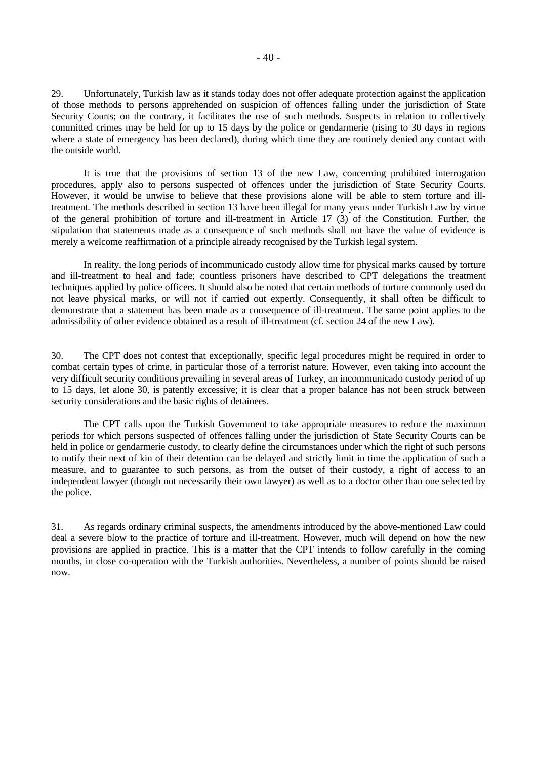29. Unfortunately, Turkish law as it stands today does not offer adequate protection against the application of those methods to persons apprehended on suspicion of offences falling under the jurisdiction of State Security Courts; on the contrary, it facilitates the use of such methods. Suspects in relation to collectively committed crimes may be held for up to 15 days by the police or gendarmerie (rising to 30 days in regions where a state of emergency has been declared), during which time they are routinely denied any contact with the outside world.

It is true that the provisions of section 13 of the new Law, concerning prohibited interrogation procedures, apply also to persons suspected of offences under the jurisdiction of State Security Courts. However, it would be unwise to believe that these provisions alone will be able to stem torture and illtreatment. The methods described in section 13 have been illegal for many years under Turkish Law by virtue of the general prohibition of torture and ill-treatment in Article 17 (3) of the Constitution. Further, the stipulation that statements made as a consequence of such methods shall not have the value of evidence is merely a welcome reaffirmation of a principle already recognised by the Turkish legal system.

In reality, the long periods of incommunicado custody allow time for physical marks caused by torture and ill-treatment to heal and fade; countless prisoners have described to CPT delegations the treatment techniques applied by police officers. It should also be noted that certain methods of torture commonly used do not leave physical marks, or will not if carried out expertly. Consequently, it shall often be difficult to demonstrate that a statement has been made as a consequence of ill-treatment. The same point applies to the admissibility of other evidence obtained as a result of ill-treatment (cf. section 24 of the new Law).

30. The CPT does not contest that exceptionally, specific legal procedures might be required in order to combat certain types of crime, in particular those of a terrorist nature. However, even taking into account the very difficult security conditions prevailing in several areas of Turkey, an incommunicado custody period of up to 15 days, let alone 30, is patently excessive; it is clear that a proper balance has not been struck between security considerations and the basic rights of detainees.

The CPT calls upon the Turkish Government to take appropriate measures to reduce the maximum periods for which persons suspected of offences falling under the jurisdiction of State Security Courts can be held in police or gendarmerie custody, to clearly define the circumstances under which the right of such persons to notify their next of kin of their detention can be delayed and strictly limit in time the application of such a measure, and to guarantee to such persons, as from the outset of their custody, a right of access to an independent lawyer (though not necessarily their own lawyer) as well as to a doctor other than one selected by the police.

31. As regards ordinary criminal suspects, the amendments introduced by the above-mentioned Law could deal a severe blow to the practice of torture and ill-treatment. However, much will depend on how the new provisions are applied in practice. This is a matter that the CPT intends to follow carefully in the coming months, in close co-operation with the Turkish authorities. Nevertheless, a number of points should be raised now.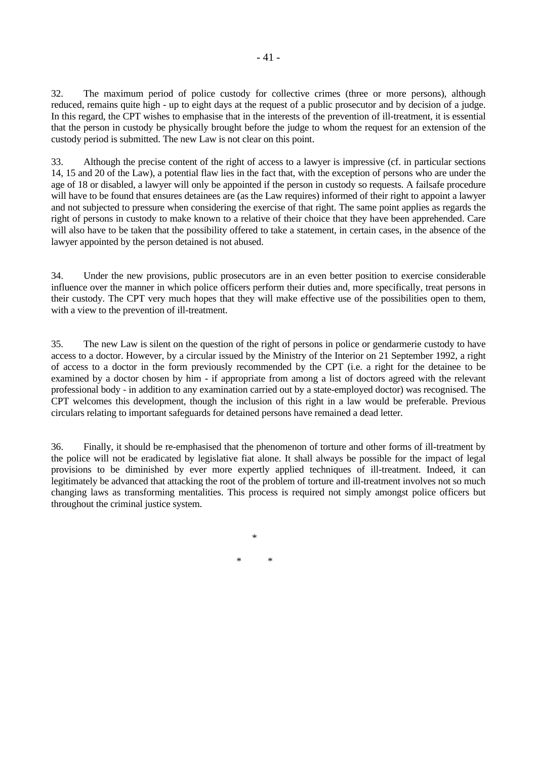32. The maximum period of police custody for collective crimes (three or more persons), although reduced, remains quite high - up to eight days at the request of a public prosecutor and by decision of a judge. In this regard, the CPT wishes to emphasise that in the interests of the prevention of ill-treatment, it is essential that the person in custody be physically brought before the judge to whom the request for an extension of the custody period is submitted. The new Law is not clear on this point.

33. Although the precise content of the right of access to a lawyer is impressive (cf. in particular sections 14, 15 and 20 of the Law), a potential flaw lies in the fact that, with the exception of persons who are under the age of 18 or disabled, a lawyer will only be appointed if the person in custody so requests. A failsafe procedure will have to be found that ensures detainees are (as the Law requires) informed of their right to appoint a lawyer and not subjected to pressure when considering the exercise of that right. The same point applies as regards the right of persons in custody to make known to a relative of their choice that they have been apprehended. Care will also have to be taken that the possibility offered to take a statement, in certain cases, in the absence of the lawyer appointed by the person detained is not abused.

34. Under the new provisions, public prosecutors are in an even better position to exercise considerable influence over the manner in which police officers perform their duties and, more specifically, treat persons in their custody. The CPT very much hopes that they will make effective use of the possibilities open to them, with a view to the prevention of ill-treatment.

35. The new Law is silent on the question of the right of persons in police or gendarmerie custody to have access to a doctor. However, by a circular issued by the Ministry of the Interior on 21 September 1992, a right of access to a doctor in the form previously recommended by the CPT (i.e. a right for the detainee to be examined by a doctor chosen by him - if appropriate from among a list of doctors agreed with the relevant professional body - in addition to any examination carried out by a state-employed doctor) was recognised. The CPT welcomes this development, though the inclusion of this right in a law would be preferable. Previous circulars relating to important safeguards for detained persons have remained a dead letter.

36. Finally, it should be re-emphasised that the phenomenon of torture and other forms of ill-treatment by the police will not be eradicated by legislative fiat alone. It shall always be possible for the impact of legal provisions to be diminished by ever more expertly applied techniques of ill-treatment. Indeed, it can legitimately be advanced that attacking the root of the problem of torture and ill-treatment involves not so much changing laws as transforming mentalities. This process is required not simply amongst police officers but throughout the criminal justice system.

> \* \* \*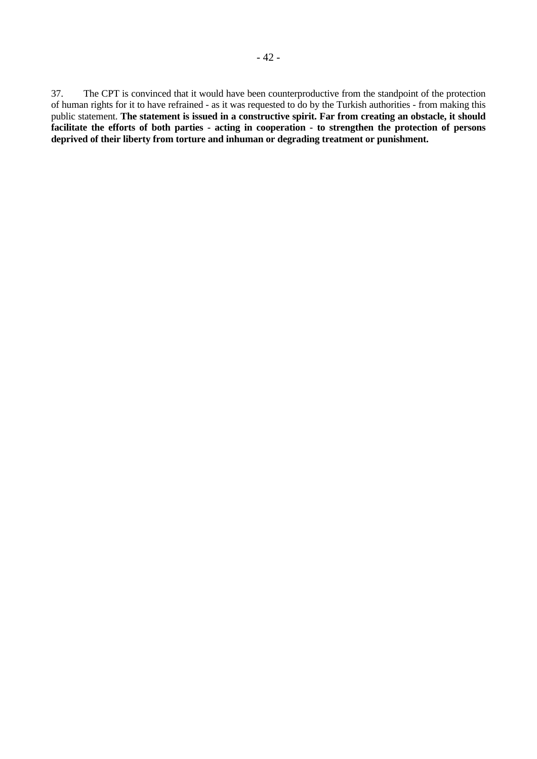37. The CPT is convinced that it would have been counterproductive from the standpoint of the protection of human rights for it to have refrained - as it was requested to do by the Turkish authorities - from making this public statement. **The statement is issued in a constructive spirit. Far from creating an obstacle, it should facilitate the efforts of both parties - acting in cooperation - to strengthen the protection of persons deprived of their liberty from torture and inhuman or degrading treatment or punishment.**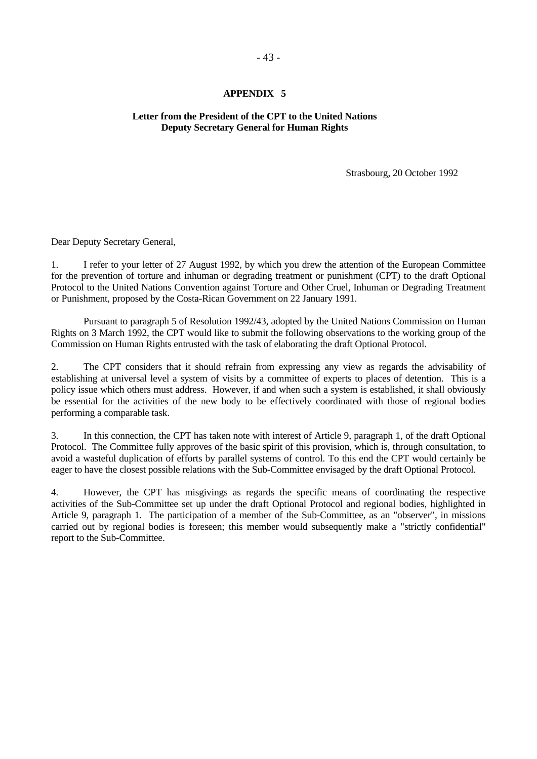## **APPENDIX 5**

## **Letter from the President of the CPT to the United Nations Deputy Secretary General for Human Rights**

Strasbourg, 20 October 1992

Dear Deputy Secretary General,

1. I refer to your letter of 27 August 1992, by which you drew the attention of the European Committee for the prevention of torture and inhuman or degrading treatment or punishment (CPT) to the draft Optional Protocol to the United Nations Convention against Torture and Other Cruel, Inhuman or Degrading Treatment or Punishment, proposed by the Costa-Rican Government on 22 January 1991.

Pursuant to paragraph 5 of Resolution 1992/43, adopted by the United Nations Commission on Human Rights on 3 March 1992, the CPT would like to submit the following observations to the working group of the Commission on Human Rights entrusted with the task of elaborating the draft Optional Protocol.

2. The CPT considers that it should refrain from expressing any view as regards the advisability of establishing at universal level a system of visits by a committee of experts to places of detention. This is a policy issue which others must address. However, if and when such a system is established, it shall obviously be essential for the activities of the new body to be effectively coordinated with those of regional bodies performing a comparable task.

3. In this connection, the CPT has taken note with interest of Article 9, paragraph 1, of the draft Optional Protocol. The Committee fully approves of the basic spirit of this provision, which is, through consultation, to avoid a wasteful duplication of efforts by parallel systems of control. To this end the CPT would certainly be eager to have the closest possible relations with the Sub-Committee envisaged by the draft Optional Protocol.

4. However, the CPT has misgivings as regards the specific means of coordinating the respective activities of the Sub-Committee set up under the draft Optional Protocol and regional bodies, highlighted in Article 9, paragraph 1. The participation of a member of the Sub-Committee, as an "observer", in missions carried out by regional bodies is foreseen; this member would subsequently make a "strictly confidential" report to the Sub-Committee.